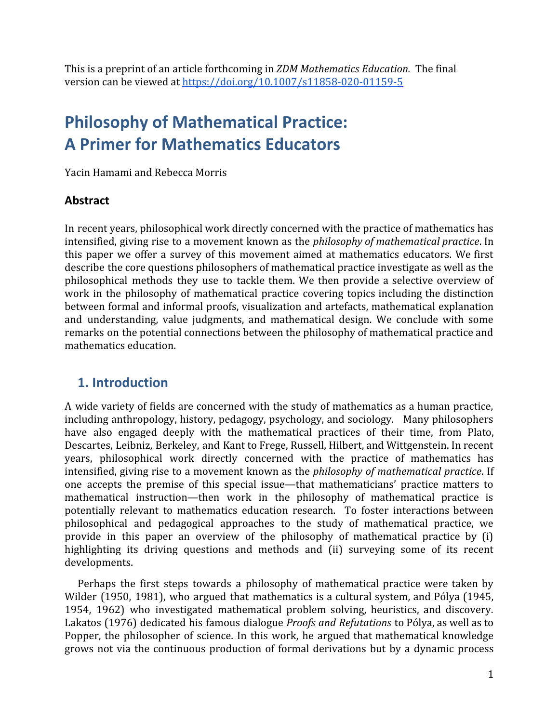This is a preprint of an article forthcoming in *ZDM Mathematics Education.* The final version can be viewed at <https://doi.org/10.1007/s11858-020-01159-5>

# **Philosophy of Mathematical Practice: A Primer for Mathematics Educators**

Yacin Hamami and Rebecca Morris

#### **Abstract**

In recent years, philosophical work directly concerned with the practice of mathematics has intensified, giving rise to a movement known as the *philosophy of mathematical practice*. In this paper we offer a survey of this movement aimed at mathematics educators. We first describe the core questions philosophers of mathematical practice investigate as well as the philosophical methods they use to tackle them. We then provide a selective overview of work in the philosophy of mathematical practice covering topics including the distinction between formal and informal proofs, visualization and artefacts, mathematical explanation and understanding, value judgments, and mathematical design. We conclude with some remarks on the potential connections between the philosophy of mathematical practice and mathematics education.

#### **1. Introduction**

A wide variety of fields are concerned with the study of mathematics as a human practice, including anthropology, history, pedagogy, psychology, and sociology. Many philosophers have also engaged deeply with the mathematical practices of their time, from Plato, Descartes, Leibniz, Berkeley, and Kant to Frege, Russell, Hilbert, and Wittgenstein. In recent years, philosophical work directly concerned with the practice of mathematics has intensified, giving rise to a movement known as the *philosophy of mathematical practice*. If one accepts the premise of this special issue—that mathematicians' practice matters to mathematical instruction—then work in the philosophy of mathematical practice is potentially relevant to mathematics education research. To foster interactions between philosophical and pedagogical approaches to the study of mathematical practice, we provide in this paper an overview of the philosophy of mathematical practice by (i) highlighting its driving questions and methods and (ii) surveying some of its recent developments.

Perhaps the first steps towards a philosophy of mathematical practice were taken by Wilder (1950, 1981), who argued that mathematics is a cultural system, and Pólya (1945, 1954, 1962) who investigated mathematical problem solving, heuristics, and discovery. Lakatos (1976) dedicated his famous dialogue *Proofs and Refutations* to Pólya, as well as to Popper, the philosopher of science. In this work, he argued that mathematical knowledge grows not via the continuous production of formal derivations but by a dynamic process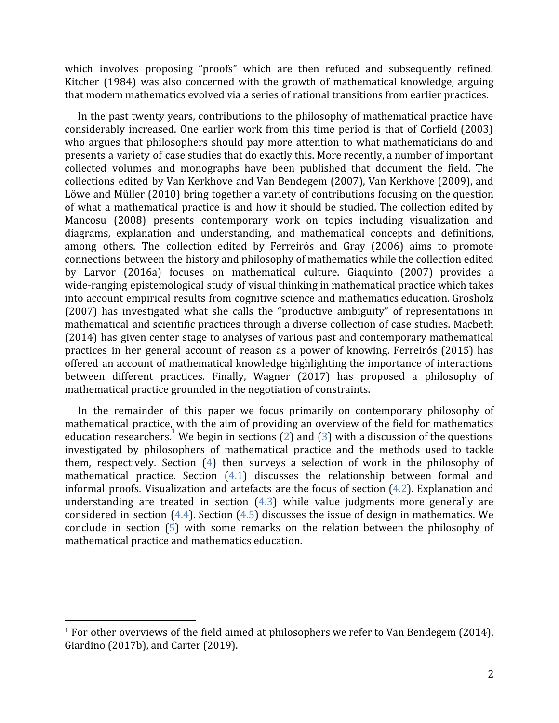which involves proposing "proofs" which are then refuted and subsequently refined. Kitcher (1984) was also concerned with the growth of mathematical knowledge, arguing that modern mathematics evolved via a series of rational transitions from earlier practices.

In the past twenty years, contributions to the philosophy of mathematical practice have considerably increased. One earlier work from this time period is that of Corfield (2003) who argues that philosophers should pay more attention to what mathematicians do and presents a variety of case studies that do exactly this. More recently, a number of important collected volumes and monographs have been published that document the field. The collections edited by Van Kerkhove and Van Bendegem (2007), Van Kerkhove (2009), and Löwe and Müller (2010) bring together a variety of contributions focusing on the question of what a mathematical practice is and how it should be studied. The collection edited by Mancosu (2008) presents contemporary work on topics including visualization and diagrams, explanation and understanding, and mathematical concepts and definitions, among others. The collection edited by Ferreirós and Gray (2006) aims to promote connections between the history and philosophy of mathematics while the collection edited by Larvor (2016a) focuses on mathematical culture. Giaquinto (2007) provides a wide-ranging epistemological study of visual thinking in mathematical practice which takes into account empirical results from cognitive science and mathematics education. Grosholz (2007) has investigated what she calls the "productive ambiguity" of representations in mathematical and scientific practices through a diverse collection of case studies. Macbeth (2014) has given center stage to analyses of various past and contemporary mathematical practices in her general account of reason as a power of knowing. Ferreirós (2015) has offered an account of mathematical knowledge highlighting the importance of interactions between different practices. Finally, Wagner (2017) has proposed a philosophy of mathematical practice grounded in the negotiation of constraints.

In the remainder of this paper we focus primarily on contemporary philosophy of mathematical practice, with the aim of providing an overview of the field for mathematics education researchers.<sup>1</sup> We begin in sections [\(2](#page-2-0)) and [\(3](#page-3-0)) with a discussion of the questions investigated by philosophers of mathematical practice and the methods used to tackle them, respectively. Section ([4](#page-6-0)) then surveys a selection of work in the philosophy of mathematical practice. Section [\(4.1](#page-6-1)) discusses the relationship between formal and informal proofs. Visualization and artefacts are the focus of section [\(4.2](#page-8-0)). Explanation and understanding are treated in section  $(4.3)$  $(4.3)$  $(4.3)$  while value judgments more generally are considered in section  $(4.4)$  $(4.4)$ . Section  $(4.5)$  discusses the issue of design in mathematics. We conclude in section [\(5\)](#page-17-0) with some remarks on the relation between the philosophy of mathematical practice and mathematics education.

 $1$  For other overviews of the field aimed at philosophers we refer to Van Bendegem (2014), Giardino (2017b), and Carter (2019).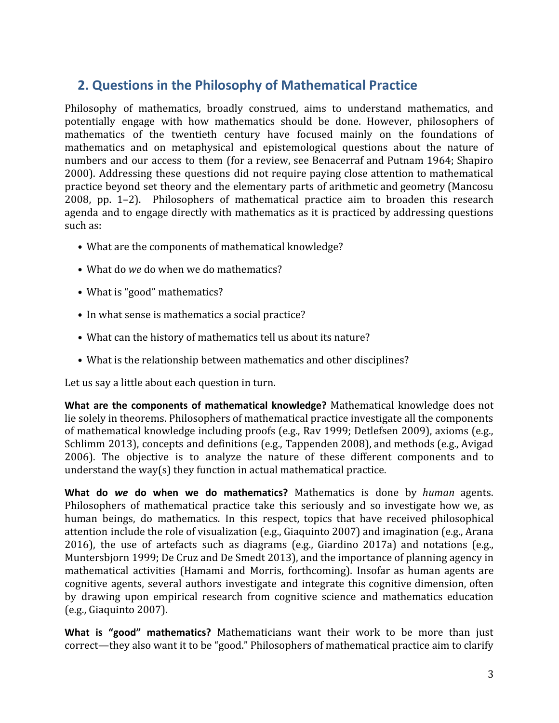## <span id="page-2-0"></span>**2. Questions in the Philosophy of Mathematical Practice**

Philosophy of mathematics, broadly construed, aims to understand mathematics, and potentially engage with how mathematics should be done. However, philosophers of mathematics of the twentieth century have focused mainly on the foundations of mathematics and on metaphysical and epistemological questions about the nature of numbers and our access to them (for a review, see Benacerraf and Putnam 1964; Shapiro 2000). Addressing these questions did not require paying close attention to mathematical practice beyond set theory and the elementary parts of arithmetic and geometry (Mancosu 2008, pp. 1–2). Philosophers of mathematical practice aim to broaden this research agenda and to engage directly with mathematics as it is practiced by addressing questions such as:

- What are the components of mathematical knowledge?
- What do *we* do when we do mathematics?
- What is "good" mathematics?
- In what sense is mathematics a social practice?
- What can the history of mathematics tell us about its nature?
- What is the relationship between mathematics and other disciplines?

Let us say a little about each question in turn.

**What are the components of mathematical knowledge?** Mathematical knowledge does not lie solely in theorems. Philosophers of mathematical practice investigate all the components of mathematical knowledge including proofs (e.g., Rav 1999; Detlefsen 2009), axioms (e.g., Schlimm 2013), concepts and definitions (e.g., Tappenden 2008), and methods (e.g., Avigad 2006). The objective is to analyze the nature of these different components and to understand the way(s) they function in actual mathematical practice.

**What do** *we* **do when we do mathematics?** Mathematics is done by *human* agents. Philosophers of mathematical practice take this seriously and so investigate how we, as human beings, do mathematics. In this respect, topics that have received philosophical attention include the role of visualization (e.g., Giaquinto 2007) and imagination (e.g., Arana 2016), the use of artefacts such as diagrams (e.g., Giardino 2017a) and notations (e.g., Muntersbjorn 1999; De Cruz and De Smedt 2013), and the importance of planning agency in mathematical activities (Hamami and Morris, forthcoming). Insofar as human agents are cognitive agents, several authors investigate and integrate this cognitive dimension, often by drawing upon empirical research from cognitive science and mathematics education (e.g., Giaquinto 2007).

**What is "good" mathematics?** Mathematicians want their work to be more than just correct—they also want it to be "good." Philosophers of mathematical practice aim to clarify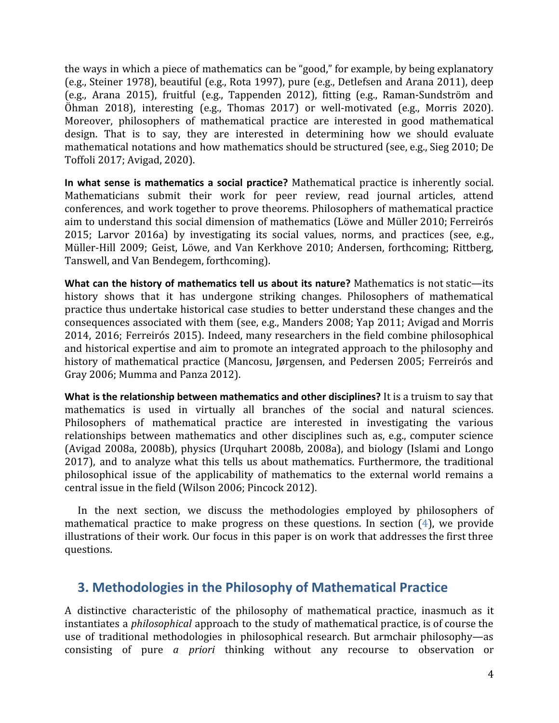the ways in which a piece of mathematics can be "good," for example, by being explanatory (e.g., Steiner 1978), beautiful (e.g., Rota 1997), pure (e.g., Detlefsen and Arana 2011), deep (e.g., Arana 2015), fruitful (e.g., Tappenden 2012), fitting (e.g., Raman-Sundström and Öhman 2018), interesting (e.g., Thomas 2017) or well-motivated (e.g., Morris 2020). Moreover, philosophers of mathematical practice are interested in good mathematical design. That is to say, they are interested in determining how we should evaluate mathematical notations and how mathematics should be structured (see, e.g., Sieg 2010; De Toffoli 2017; Avigad, 2020).

**In what sense is mathematics a social practice?** Mathematical practice is inherently social. Mathematicians submit their work for peer review, read journal articles, attend conferences, and work together to prove theorems. Philosophers of mathematical practice aim to understand this social dimension of mathematics (Löwe and Müller 2010; Ferreirós 2015; Larvor 2016a) by investigating its social values, norms, and practices (see, e.g., Müller-Hill 2009; Geist, Löwe, and Van Kerkhove 2010; Andersen, forthcoming; Rittberg, Tanswell, and Van Bendegem, forthcoming).

**What can the history of mathematics tell us about its nature?** Mathematics is not static—its history shows that it has undergone striking changes. Philosophers of mathematical practice thus undertake historical case studies to better understand these changes and the consequences associated with them (see, e.g., Manders 2008; Yap 2011; Avigad and Morris 2014, 2016; Ferreirós 2015). Indeed, many researchers in the field combine philosophical and historical expertise and aim to promote an integrated approach to the philosophy and history of mathematical practice (Mancosu, Jørgensen, and Pedersen 2005; Ferreirós and Gray 2006; Mumma and Panza 2012).

**What is the relationship between mathematics and other disciplines?** It is a truism to say that mathematics is used in virtually all branches of the social and natural sciences. Philosophers of mathematical practice are interested in investigating the various relationships between mathematics and other disciplines such as, e.g., computer science (Avigad 2008a, 2008b), physics (Urquhart 2008b, 2008a), and biology (Islami and Longo 2017), and to analyze what this tells us about mathematics. Furthermore, the traditional philosophical issue of the applicability of mathematics to the external world remains a central issue in the field (Wilson 2006; Pincock 2012).

In the next section, we discuss the methodologies employed by philosophers of mathematical practice to make progress on these questions. In section ([4](#page-6-0)), we provide illustrations of their work. Our focus in this paper is on work that addresses the first three questions.

## <span id="page-3-0"></span>**3. Methodologies in the Philosophy of Mathematical Practice**

A distinctive characteristic of the philosophy of mathematical practice, inasmuch as it instantiates a *philosophical* approach to the study of mathematical practice, is of course the use of traditional methodologies in philosophical research. But armchair philosophy—as consisting of pure *a priori* thinking without any recourse to observation or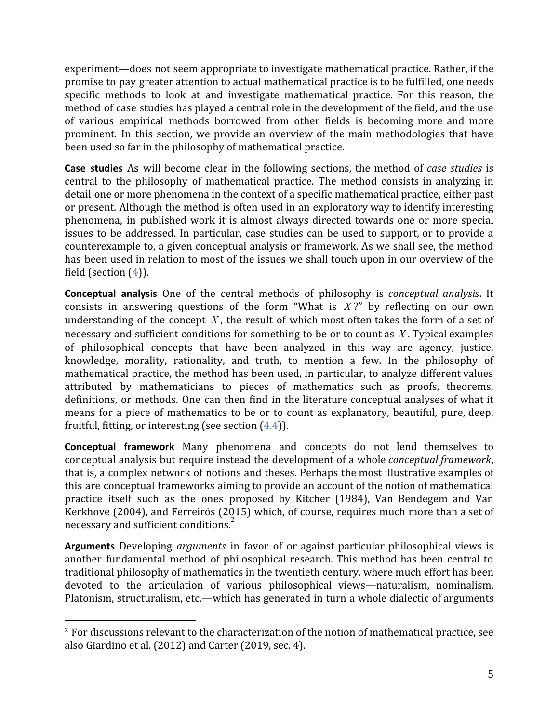experiment—does not seem appropriate to investigate mathematical practice. Rather, if the promise to pay greater attention to actual mathematical practice is to be fulfilled, one needs specific methods to look at and investigate mathematical practice. For this reason, the method of case studies has played a central role in the development of the field, and the use of various empirical methods borrowed from other fields is becoming more and more prominent. In this section, we provide an overview of the main methodologies that have been used so far in the philosophy of mathematical practice.

**Case studies** As will become clear in the following sections, the method of *case studies* is central to the philosophy of mathematical practice. The method consists in analyzing in detail one or more phenomena in the context of a specific mathematical practice, either past or present. Although the method is often used in an exploratory way to identify interesting phenomena, in published work it is almost always directed towards one or more special issues to be addressed. In particular, case studies can be used to support, or to provide a counterexample to, a given conceptual analysis or framework. As we shall see, the method has been used in relation to most of the issues we shall touch upon in our overview of the field (section ([4\)](#page-6-0)).

**Conceptual analysis** One of the central methods of philosophy is *conceptual analysis*. It consists in answering questions of the form "What is *X* ?" by reflecting on our own understanding of the concept *X* , the result of which most often takes the form of a set of necessary and sufficient conditions for something to be or to count as *X* . Typical examples of philosophical concepts that have been analyzed in this way are agency, justice, knowledge, morality, rationality, and truth, to mention a few. In the philosophy of mathematical practice, the method has been used, in particular, to analyze different values attributed by mathematicians to pieces of mathematics such as proofs, theorems, definitions, or methods. One can then find in the literature conceptual analyses of what it means for a piece of mathematics to be or to count as explanatory, beautiful, pure, deep, fruitful, fitting, or interesting (see section  $(4.4)$  $(4.4)$  $(4.4)$ ).

**Conceptual framework** Many phenomena and concepts do not lend themselves to conceptual analysis but require instead the development of a whole *conceptual framework*, that is, a complex network of notions and theses. Perhaps the most illustrative examples of this are conceptual frameworks aiming to provide an account of the notion of mathematical practice itself such as the ones proposed by Kitcher (1984), Van Bendegem and Van Kerkhove (2004), and Ferreirós (2015) which, of course, requires much more than a set of necessary and sufficient conditions.<sup>2</sup>

**Arguments** Developing *arguments* in favor of or against particular philosophical views is another fundamental method of philosophical research. This method has been central to traditional philosophy of mathematics in the twentieth century, where much effort has been devoted to the articulation of various philosophical views—naturalism, nominalism, Platonism, structuralism, etc.—which has generated in turn a whole dialectic of arguments

<sup>&</sup>lt;sup>2</sup> For discussions relevant to the characterization of the notion of mathematical practice, see also Giardino et al. (2012) and Carter (2019, sec. 4).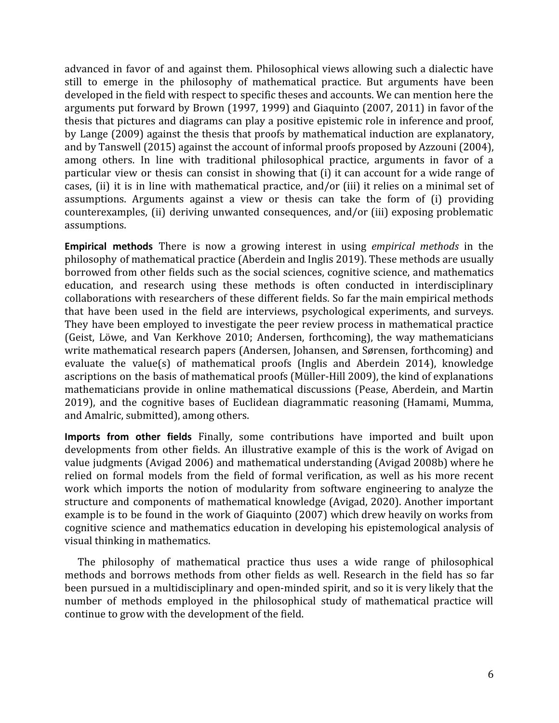advanced in favor of and against them. Philosophical views allowing such a dialectic have still to emerge in the philosophy of mathematical practice. But arguments have been developed in the field with respect to specific theses and accounts. We can mention here the arguments put forward by Brown (1997, 1999) and Giaquinto (2007, 2011) in favor of the thesis that pictures and diagrams can play a positive epistemic role in inference and proof, by Lange (2009) against the thesis that proofs by mathematical induction are explanatory, and by Tanswell (2015) against the account of informal proofs proposed by Azzouni (2004), among others. In line with traditional philosophical practice, arguments in favor of a particular view or thesis can consist in showing that (i) it can account for a wide range of cases, (ii) it is in line with mathematical practice, and/or (iii) it relies on a minimal set of assumptions. Arguments against a view or thesis can take the form of (i) providing counterexamples, (ii) deriving unwanted consequences, and/or (iii) exposing problematic assumptions.

**Empirical methods** There is now a growing interest in using *empirical methods* in the philosophy of mathematical practice (Aberdein and Inglis 2019). These methods are usually borrowed from other fields such as the social sciences, cognitive science, and mathematics education, and research using these methods is often conducted in interdisciplinary collaborations with researchers of these different fields. So far the main empirical methods that have been used in the field are interviews, psychological experiments, and surveys. They have been employed to investigate the peer review process in mathematical practice (Geist, Löwe, and Van Kerkhove 2010; Andersen, forthcoming), the way mathematicians write mathematical research papers (Andersen, Johansen, and Sørensen, forthcoming) and evaluate the value(s) of mathematical proofs (Inglis and Aberdein 2014), knowledge ascriptions on the basis of mathematical proofs (Müller-Hill 2009), the kind of explanations mathematicians provide in online mathematical discussions (Pease, Aberdein, and Martin 2019), and the cognitive bases of Euclidean diagrammatic reasoning (Hamami, Mumma, and Amalric, submitted), among others.

**Imports from other fields** Finally, some contributions have imported and built upon developments from other fields. An illustrative example of this is the work of Avigad on value judgments (Avigad 2006) and mathematical understanding (Avigad 2008b) where he relied on formal models from the field of formal verification, as well as his more recent work which imports the notion of modularity from software engineering to analyze the structure and components of mathematical knowledge (Avigad, 2020). Another important example is to be found in the work of Giaquinto (2007) which drew heavily on works from cognitive science and mathematics education in developing his epistemological analysis of visual thinking in mathematics.

The philosophy of mathematical practice thus uses a wide range of philosophical methods and borrows methods from other fields as well. Research in the field has so far been pursued in a multidisciplinary and open-minded spirit, and so it is very likely that the number of methods employed in the philosophical study of mathematical practice will continue to grow with the development of the field.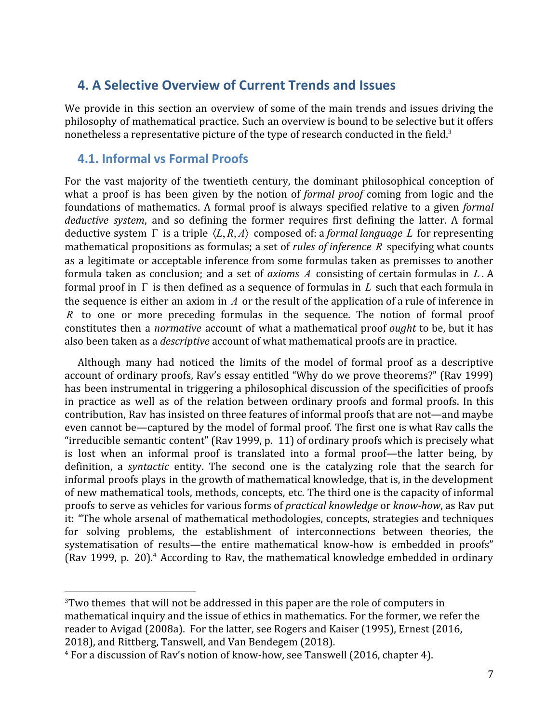## <span id="page-6-0"></span>**4. A Selective Overview of Current Trends and Issues**

We provide in this section an overview of some of the main trends and issues driving the philosophy of mathematical practice. Such an overview is bound to be selective but it offers nonetheless a representative picture of the type of research conducted in the field.<sup>3</sup>

## <span id="page-6-1"></span>**4.1. Informal vs Formal Proofs**

For the vast majority of the twentieth century, the dominant philosophical conception of what a proof is has been given by the notion of *formal proof* coming from logic and the foundations of mathematics. A formal proof is always specified relative to a given *formal deductive system*, and so defining the former requires first defining the latter. A formal deductive system Γ is a triple ⟨*L*, *R*, *A*⟩ composed of: a *formal language L* for representing mathematical propositions as formulas; a set of *rules of inference R* specifying what counts as a legitimate or acceptable inference from some formulas taken as premisses to another formula taken as conclusion; and a set of *axioms A* consisting of certain formulas in *L* . A formal proof in Γ is then defined as a sequence of formulas in *L* such that each formula in the sequence is either an axiom in *A* or the result of the application of a rule of inference in *R* to one or more preceding formulas in the sequence. The notion of formal proof constitutes then a *normative* account of what a mathematical proof *ought* to be, but it has also been taken as a *descriptive* account of what mathematical proofs are in practice.

Although many had noticed the limits of the model of formal proof as a descriptive account of ordinary proofs, Rav's essay entitled "Why do we prove theorems?" (Rav 1999) has been instrumental in triggering a philosophical discussion of the specificities of proofs in practice as well as of the relation between ordinary proofs and formal proofs. In this contribution, Rav has insisted on three features of informal proofs that are not—and maybe even cannot be—captured by the model of formal proof. The first one is what Rav calls the "irreducible semantic content" (Rav 1999, p. 11) of ordinary proofs which is precisely what is lost when an informal proof is translated into a formal proof—the latter being, by definition, a *syntactic* entity. The second one is the catalyzing role that the search for informal proofs plays in the growth of mathematical knowledge, that is, in the development of new mathematical tools, methods, concepts, etc. The third one is the capacity of informal proofs to serve as vehicles for various forms of *practical knowledge* or *know-how*, as Rav put it: "The whole arsenal of mathematical methodologies, concepts, strategies and techniques for solving problems, the establishment of interconnections between theories, the systematisation of results—the entire mathematical know-how is embedded in proofs" (Rav 1999, p. 20).<sup>4</sup> According to Rav, the mathematical knowledge embedded in ordinary

<sup>&</sup>lt;sup>3</sup>Two themes that will not be addressed in this paper are the role of computers in mathematical inquiry and the issue of ethics in mathematics. For the former, we refer the reader to Avigad (2008a). For the latter, see Rogers and Kaiser (1995), Ernest (2016, 2018), and Rittberg, Tanswell, and Van Bendegem (2018).

<sup>4</sup> For a discussion of Rav's notion of know-how, see Tanswell (2016, chapter 4).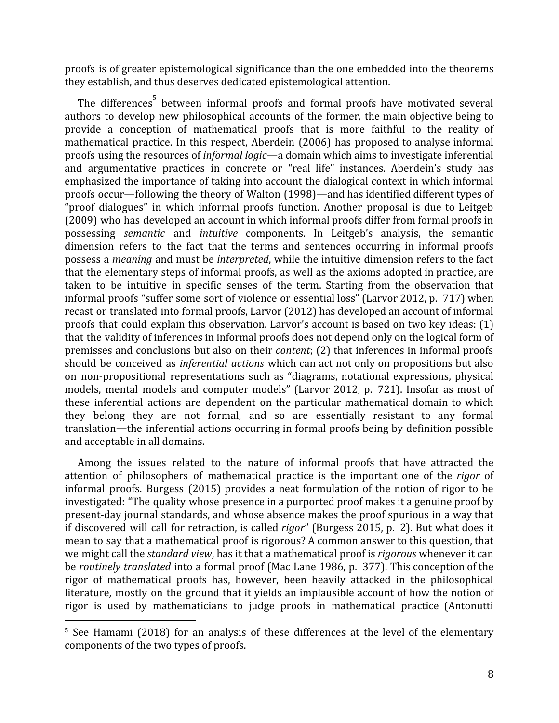proofs is of greater epistemological significance than the one embedded into the theorems they establish, and thus deserves dedicated epistemological attention.

The differences<sup>5</sup> between informal proofs and formal proofs have motivated several authors to develop new philosophical accounts of the former, the main objective being to provide a conception of mathematical proofs that is more faithful to the reality of mathematical practice. In this respect, Aberdein (2006) has proposed to analyse informal proofs using the resources of *informal logic*—a domain which aims to investigate inferential and argumentative practices in concrete or "real life" instances. Aberdein's study has emphasized the importance of taking into account the dialogical context in which informal proofs occur—following the theory of Walton (1998)—and has identified different types of "proof dialogues" in which informal proofs function. Another proposal is due to Leitgeb (2009) who has developed an account in which informal proofs differ from formal proofs in possessing *semantic* and *intuitive* components. In Leitgeb's analysis, the semantic dimension refers to the fact that the terms and sentences occurring in informal proofs possess a *meaning* and must be *interpreted*, while the intuitive dimension refers to the fact that the elementary steps of informal proofs, as well as the axioms adopted in practice, are taken to be intuitive in specific senses of the term. Starting from the observation that informal proofs "suffer some sort of violence or essential loss" (Larvor 2012, p. 717) when recast or translated into formal proofs, Larvor (2012) has developed an account of informal proofs that could explain this observation. Larvor's account is based on two key ideas: (1) that the validity of inferences in informal proofs does not depend only on the logical form of premisses and conclusions but also on their *content*; (2) that inferences in informal proofs should be conceived as *inferential actions* which can act not only on propositions but also on non-propositional representations such as "diagrams, notational expressions, physical models, mental models and computer models" (Larvor 2012, p. 721). Insofar as most of these inferential actions are dependent on the particular mathematical domain to which they belong they are not formal, and so are essentially resistant to any formal translation—the inferential actions occurring in formal proofs being by definition possible and acceptable in all domains.

Among the issues related to the nature of informal proofs that have attracted the attention of philosophers of mathematical practice is the important one of the *rigor* of informal proofs. Burgess (2015) provides a neat formulation of the notion of rigor to be investigated: "The quality whose presence in a purported proof makes it a genuine proof by present-day journal standards, and whose absence makes the proof spurious in a way that if discovered will call for retraction, is called *rigor*" (Burgess 2015, p. 2). But what does it mean to say that a mathematical proof is rigorous? A common answer to this question, that we might call the *standard view*, has it that a mathematical proof is *rigorous* whenever it can be *routinely translated* into a formal proof (Mac Lane 1986, p. 377). This conception of the rigor of mathematical proofs has, however, been heavily attacked in the philosophical literature, mostly on the ground that it yields an implausible account of how the notion of rigor is used by mathematicians to judge proofs in mathematical practice (Antonutti

<sup>&</sup>lt;sup>5</sup> See Hamami (2018) for an analysis of these differences at the level of the elementary components of the two types of proofs.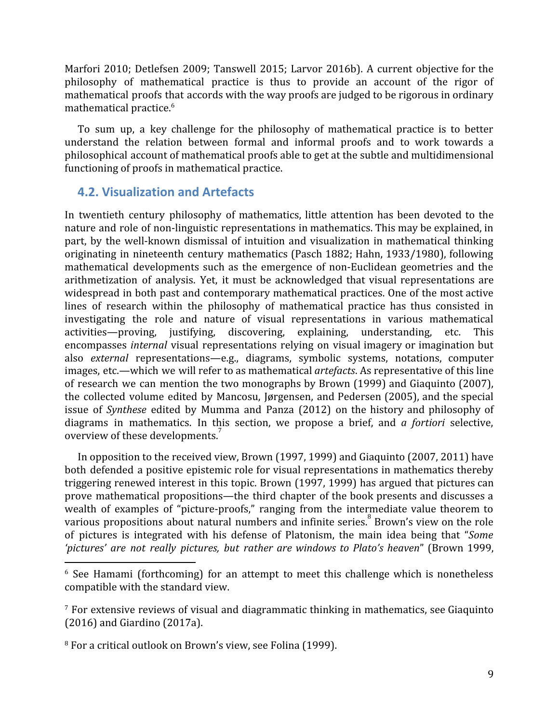Marfori 2010; Detlefsen 2009; Tanswell 2015; Larvor 2016b). A current objective for the philosophy of mathematical practice is thus to provide an account of the rigor of mathematical proofs that accords with the way proofs are judged to be rigorous in ordinary mathematical practice.<sup>6</sup>

To sum up, a key challenge for the philosophy of mathematical practice is to better understand the relation between formal and informal proofs and to work towards a philosophical account of mathematical proofs able to get at the subtle and multidimensional functioning of proofs in mathematical practice.

## <span id="page-8-0"></span>**4.2. Visualization and Artefacts**

In twentieth century philosophy of mathematics, little attention has been devoted to the nature and role of non-linguistic representations in mathematics. This may be explained, in part, by the well-known dismissal of intuition and visualization in mathematical thinking originating in nineteenth century mathematics (Pasch 1882; Hahn, 1933/1980), following mathematical developments such as the emergence of non-Euclidean geometries and the arithmetization of analysis. Yet, it must be acknowledged that visual representations are widespread in both past and contemporary mathematical practices. One of the most active lines of research within the philosophy of mathematical practice has thus consisted in investigating the role and nature of visual representations in various mathematical activities—proving, justifying, discovering, explaining, understanding, etc. This encompasses *internal* visual representations relying on visual imagery or imagination but also *external* representations—e.g., diagrams, symbolic systems, notations, computer images, etc.—which we will refer to as mathematical *artefacts*. As representative of this line of research we can mention the two monographs by Brown (1999) and Giaquinto (2007), the collected volume edited by Mancosu, Jørgensen, and Pedersen (2005), and the special issue of *Synthese* edited by Mumma and Panza (2012) on the history and philosophy of diagrams in mathematics. In this section, we propose a brief, and *a fortiori* selective, overview of these developments.<sup>7</sup>

In opposition to the received view, Brown (1997, 1999) and Giaquinto (2007, 2011) have both defended a positive epistemic role for visual representations in mathematics thereby triggering renewed interest in this topic. Brown (1997, 1999) has argued that pictures can prove mathematical propositions—the third chapter of the book presents and discusses a wealth of examples of "picture-proofs," ranging from the intermediate value theorem to various propositions about natural numbers and infinite series. Brown's view on the role of pictures is integrated with his defense of Platonism, the main idea being that "*Some 'pictures' are not really pictures, but rather are windows to Plato's heaven*" (Brown 1999,

<sup>&</sup>lt;sup>6</sup> See Hamami (forthcoming) for an attempt to meet this challenge which is nonetheless compatible with the standard view.

<sup>7</sup> For extensive reviews of visual and diagrammatic thinking in mathematics, see Giaquinto (2016) and Giardino (2017a).

<sup>8</sup> For a critical outlook on Brown's view, see Folina (1999).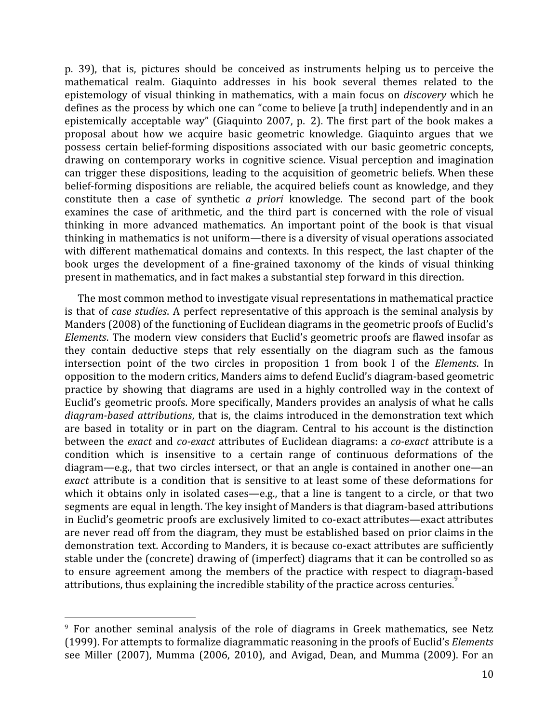p. 39), that is, pictures should be conceived as instruments helping us to perceive the mathematical realm. Giaquinto addresses in his book several themes related to the epistemology of visual thinking in mathematics, with a main focus on *discovery* which he defines as the process by which one can "come to believe [a truth] independently and in an epistemically acceptable way" (Giaquinto 2007, p. 2). The first part of the book makes a proposal about how we acquire basic geometric knowledge. Giaquinto argues that we possess certain belief-forming dispositions associated with our basic geometric concepts, drawing on contemporary works in cognitive science. Visual perception and imagination can trigger these dispositions, leading to the acquisition of geometric beliefs. When these belief-forming dispositions are reliable, the acquired beliefs count as knowledge, and they constitute then a case of synthetic *a priori* knowledge. The second part of the book examines the case of arithmetic, and the third part is concerned with the role of visual thinking in more advanced mathematics. An important point of the book is that visual thinking in mathematics is not uniform—there is a diversity of visual operations associated with different mathematical domains and contexts. In this respect, the last chapter of the book urges the development of a fine-grained taxonomy of the kinds of visual thinking present in mathematics, and in fact makes a substantial step forward in this direction.

The most common method to investigate visual representations in mathematical practice is that of *case studies*. A perfect representative of this approach is the seminal analysis by Manders (2008) of the functioning of Euclidean diagrams in the geometric proofs of Euclid's *Elements*. The modern view considers that Euclid's geometric proofs are flawed insofar as they contain deductive steps that rely essentially on the diagram such as the famous intersection point of the two circles in proposition 1 from book I of the *Elements*. In opposition to the modern critics, Manders aims to defend Euclid's diagram-based geometric practice by showing that diagrams are used in a highly controlled way in the context of Euclid's geometric proofs. More specifically, Manders provides an analysis of what he calls *diagram-based attributions*, that is, the claims introduced in the demonstration text which are based in totality or in part on the diagram. Central to his account is the distinction between the *exact* and *co-exact* attributes of Euclidean diagrams: a *co-exact* attribute is a condition which is insensitive to a certain range of continuous deformations of the diagram—e.g., that two circles intersect, or that an angle is contained in another one—an *exact* attribute is a condition that is sensitive to at least some of these deformations for which it obtains only in isolated cases—e.g., that a line is tangent to a circle, or that two segments are equal in length. The key insight of Manders is that diagram-based attributions in Euclid's geometric proofs are exclusively limited to co-exact attributes—exact attributes are never read off from the diagram, they must be established based on prior claims in the demonstration text. According to Manders, it is because co-exact attributes are sufficiently stable under the (concrete) drawing of (imperfect) diagrams that it can be controlled so as to ensure agreement among the members of the practice with respect to diagram-based attributions, thus explaining the incredible stability of the practice across centuries.

<sup>&</sup>lt;sup>9</sup> For another seminal analysis of the role of diagrams in Greek mathematics, see Netz (1999). For attempts to formalize diagrammatic reasoning in the proofs of Euclid's *Elements* see Miller (2007), Mumma (2006, 2010), and Avigad, Dean, and Mumma (2009). For an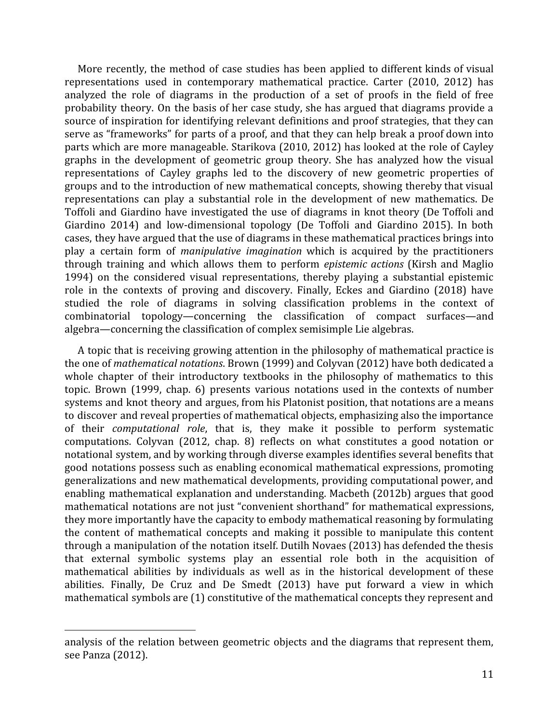More recently, the method of case studies has been applied to different kinds of visual representations used in contemporary mathematical practice. Carter (2010, 2012) has analyzed the role of diagrams in the production of a set of proofs in the field of free probability theory. On the basis of her case study, she has argued that diagrams provide a source of inspiration for identifying relevant definitions and proof strategies, that they can serve as "frameworks" for parts of a proof, and that they can help break a proof down into parts which are more manageable. Starikova (2010, 2012) has looked at the role of Cayley graphs in the development of geometric group theory. She has analyzed how the visual representations of Cayley graphs led to the discovery of new geometric properties of groups and to the introduction of new mathematical concepts, showing thereby that visual representations can play a substantial role in the development of new mathematics. De Toffoli and Giardino have investigated the use of diagrams in knot theory (De Toffoli and Giardino 2014) and low-dimensional topology (De Toffoli and Giardino 2015). In both cases, they have argued that the use of diagrams in these mathematical practices brings into play a certain form of *manipulative imagination* which is acquired by the practitioners through training and which allows them to perform *epistemic actions* (Kirsh and Maglio 1994) on the considered visual representations, thereby playing a substantial epistemic role in the contexts of proving and discovery. Finally, Eckes and Giardino (2018) have studied the role of diagrams in solving classification problems in the context of combinatorial topology—concerning the classification of compact surfaces—and algebra—concerning the classification of complex semisimple Lie algebras.

A topic that is receiving growing attention in the philosophy of mathematical practice is the one of *mathematical notations*. Brown (1999) and Colyvan (2012) have both dedicated a whole chapter of their introductory textbooks in the philosophy of mathematics to this topic. Brown (1999, chap. 6) presents various notations used in the contexts of number systems and knot theory and argues, from his Platonist position, that notations are a means to discover and reveal properties of mathematical objects, emphasizing also the importance of their *computational role*, that is, they make it possible to perform systematic computations. Colyvan (2012, chap. 8) reflects on what constitutes a good notation or notational system, and by working through diverse examples identifies several benefits that good notations possess such as enabling economical mathematical expressions, promoting generalizations and new mathematical developments, providing computational power, and enabling mathematical explanation and understanding. Macbeth (2012b) argues that good mathematical notations are not just "convenient shorthand" for mathematical expressions, they more importantly have the capacity to embody mathematical reasoning by formulating the content of mathematical concepts and making it possible to manipulate this content through a manipulation of the notation itself. Dutilh Novaes (2013) has defended the thesis that external symbolic systems play an essential role both in the acquisition of mathematical abilities by individuals as well as in the historical development of these abilities. Finally, De Cruz and De Smedt (2013) have put forward a view in which mathematical symbols are (1) constitutive of the mathematical concepts they represent and

analysis of the relation between geometric objects and the diagrams that represent them, see Panza (2012).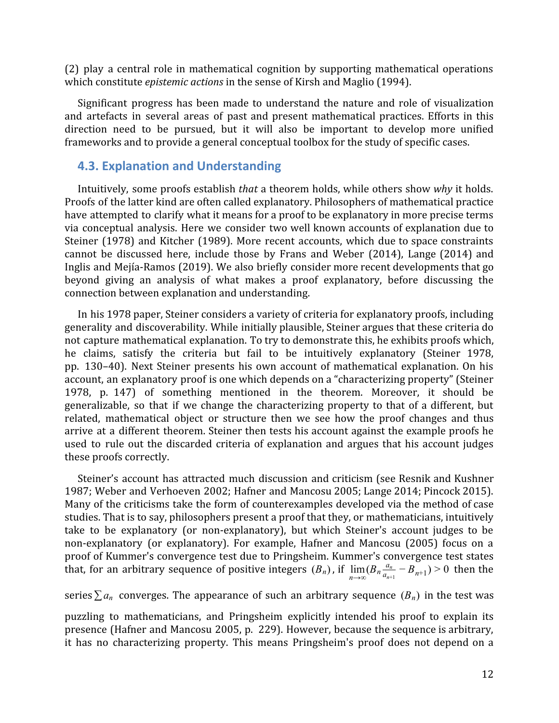(2) play a central role in mathematical cognition by supporting mathematical operations which constitute *epistemic actions* in the sense of Kirsh and Maglio (1994).

Significant progress has been made to understand the nature and role of visualization and artefacts in several areas of past and present mathematical practices. Efforts in this direction need to be pursued, but it will also be important to develop more unified frameworks and to provide a general conceptual toolbox for the study of specific cases.

#### <span id="page-11-0"></span>**4.3. Explanation and Understanding**

Intuitively, some proofs establish *that* a theorem holds, while others show *why* it holds. Proofs of the latter kind are often called explanatory. Philosophers of mathematical practice have attempted to clarify what it means for a proof to be explanatory in more precise terms via conceptual analysis. Here we consider two well known accounts of explanation due to Steiner (1978) and Kitcher (1989). More recent accounts, which due to space constraints cannot be discussed here, include those by Frans and Weber (2014), Lange (2014) and Inglis and Mejía-Ramos (2019). We also briefly consider more recent developments that go beyond giving an analysis of what makes a proof explanatory, before discussing the connection between explanation and understanding.

In his 1978 paper, Steiner considers a variety of criteria for explanatory proofs, including generality and discoverability. While initially plausible, Steiner argues that these criteria do not capture mathematical explanation. To try to demonstrate this, he exhibits proofs which, he claims, satisfy the criteria but fail to be intuitively explanatory (Steiner 1978, pp. 130–40). Next Steiner presents his own account of mathematical explanation. On his account, an explanatory proof is one which depends on a "characterizing property" (Steiner 1978, p. 147) of something mentioned in the theorem. Moreover, it should be generalizable, so that if we change the characterizing property to that of a different, but related, mathematical object or structure then we see how the proof changes and thus arrive at a different theorem. Steiner then tests his account against the example proofs he used to rule out the discarded criteria of explanation and argues that his account judges these proofs correctly.

Steiner's account has attracted much discussion and criticism (see Resnik and Kushner 1987; Weber and Verhoeven 2002; Hafner and Mancosu 2005; Lange 2014; Pincock 2015). Many of the criticisms take the form of counterexamples developed via the method of case studies. That is to say, philosophers present a proof that they, or mathematicians, intuitively take to be explanatory (or non-explanatory), but which Steiner's account judges to be non-explanatory (or explanatory). For example, Hafner and Mancosu (2005) focus on a proof of Kummer's convergence test due to Pringsheim. Kummer's convergence test states that, for an arbitrary sequence of positive integers  $(B_n)$ , if  $\lim_{n\to\infty} (B_n \frac{a_n}{a_{n+1}} - B_{n+1}) > 0$  then the  $\frac{a_n}{a_{n+1}} - B_{n+1}$ ) > 0

series  $\sum a_n$  converges. The appearance of such an arbitrary sequence  $(B_n)$  in the test was

puzzling to mathematicians, and Pringsheim explicitly intended his proof to explain its presence (Hafner and Mancosu 2005, p. 229). However, because the sequence is arbitrary, it has no characterizing property. This means Pringsheim's proof does not depend on a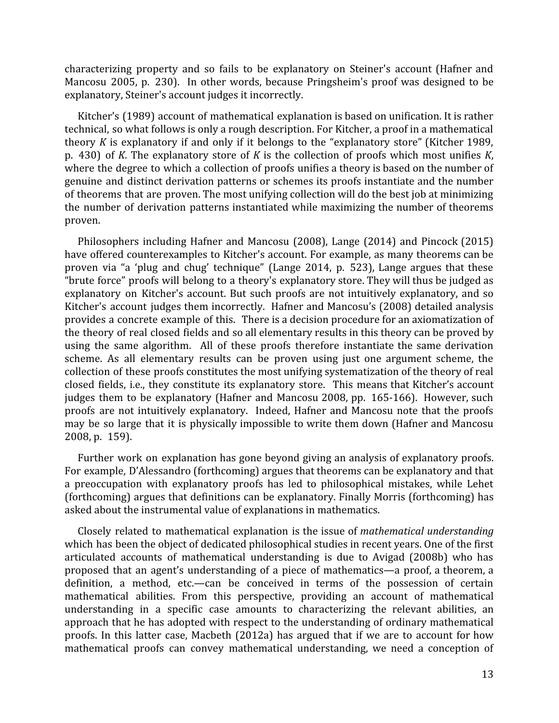characterizing property and so fails to be explanatory on Steiner's account (Hafner and Mancosu 2005, p. 230). In other words, because Pringsheim's proof was designed to be explanatory, Steiner's account judges it incorrectly.

Kitcher's (1989) account of mathematical explanation is based on unification. It is rather technical, so what follows is only a rough description. For Kitcher, a proof in a mathematical theory *K* is explanatory if and only if it belongs to the "explanatory store" (Kitcher 1989, p. 430) of *K*. The explanatory store of *K* is the collection of proofs which most unifies *K*, where the degree to which a collection of proofs unifies a theory is based on the number of genuine and distinct derivation patterns or schemes its proofs instantiate and the number of theorems that are proven. The most unifying collection will do the best job at minimizing the number of derivation patterns instantiated while maximizing the number of theorems proven.

Philosophers including Hafner and Mancosu (2008), Lange (2014) and Pincock (2015) have offered counterexamples to Kitcher's account. For example, as many theorems can be proven via "a 'plug and chug' technique" (Lange 2014, p. 523), Lange argues that these "brute force" proofs will belong to a theory's explanatory store. They will thus be judged as explanatory on Kitcher's account. But such proofs are not intuitively explanatory, and so Kitcher's account judges them incorrectly. Hafner and Mancosu's (2008) detailed analysis provides a concrete example of this. There is a decision procedure for an axiomatization of the theory of real closed fields and so all elementary results in this theory can be proved by using the same algorithm. All of these proofs therefore instantiate the same derivation scheme. As all elementary results can be proven using just one argument scheme, the collection of these proofs constitutes the most unifying systematization of the theory of real closed fields, i.e., they constitute its explanatory store. This means that Kitcher's account judges them to be explanatory (Hafner and Mancosu 2008, pp. 165-166). However, such proofs are not intuitively explanatory. Indeed, Hafner and Mancosu note that the proofs may be so large that it is physically impossible to write them down (Hafner and Mancosu 2008, p. 159).

Further work on explanation has gone beyond giving an analysis of explanatory proofs. For example, D'Alessandro (forthcoming) argues that theorems can be explanatory and that a preoccupation with explanatory proofs has led to philosophical mistakes, while Lehet (forthcoming) argues that definitions can be explanatory. Finally Morris (forthcoming) has asked about the instrumental value of explanations in mathematics.

Closely related to mathematical explanation is the issue of *mathematical understanding* which has been the object of dedicated philosophical studies in recent years. One of the first articulated accounts of mathematical understanding is due to Avigad (2008b) who has proposed that an agent's understanding of a piece of mathematics—a proof, a theorem, a definition, a method, etc.—can be conceived in terms of the possession of certain mathematical abilities. From this perspective, providing an account of mathematical understanding in a specific case amounts to characterizing the relevant abilities, an approach that he has adopted with respect to the understanding of ordinary mathematical proofs. In this latter case, Macbeth (2012a) has argued that if we are to account for how mathematical proofs can convey mathematical understanding, we need a conception of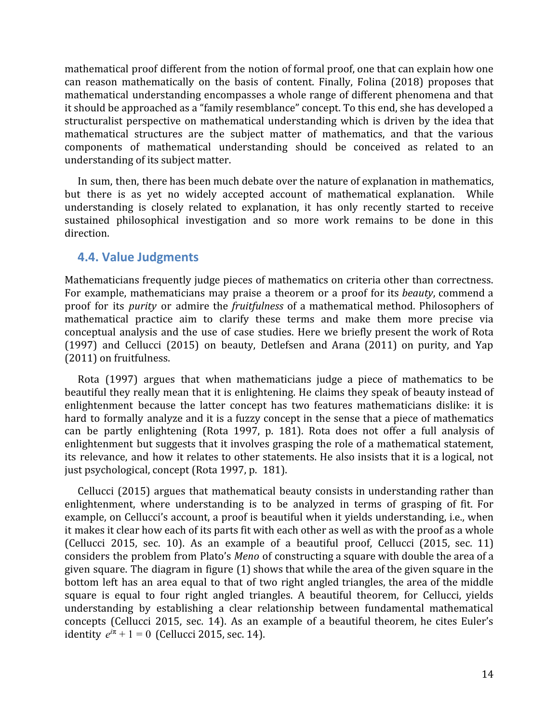mathematical proof different from the notion of formal proof, one that can explain how one can reason mathematically on the basis of content. Finally, Folina (2018) proposes that mathematical understanding encompasses a whole range of different phenomena and that it should be approached as a "family resemblance" concept. To this end, she has developed a structuralist perspective on mathematical understanding which is driven by the idea that mathematical structures are the subject matter of mathematics, and that the various components of mathematical understanding should be conceived as related to an understanding of its subject matter.

In sum, then, there has been much debate over the nature of explanation in mathematics, but there is as yet no widely accepted account of mathematical explanation. While understanding is closely related to explanation, it has only recently started to receive sustained philosophical investigation and so more work remains to be done in this direction.

#### <span id="page-13-0"></span>**4.4. Value Judgments**

Mathematicians frequently judge pieces of mathematics on criteria other than correctness. For example, mathematicians may praise a theorem or a proof for its *beauty*, commend a proof for its *purity* or admire the *fruitfulness* of a mathematical method. Philosophers of mathematical practice aim to clarify these terms and make them more precise via conceptual analysis and the use of case studies. Here we briefly present the work of Rota (1997) and Cellucci (2015) on beauty, Detlefsen and Arana (2011) on purity, and Yap (2011) on fruitfulness.

Rota (1997) argues that when mathematicians judge a piece of mathematics to be beautiful they really mean that it is enlightening. He claims they speak of beauty instead of enlightenment because the latter concept has two features mathematicians dislike: it is hard to formally analyze and it is a fuzzy concept in the sense that a piece of mathematics can be partly enlightening (Rota 1997, p. 181). Rota does not offer a full analysis of enlightenment but suggests that it involves grasping the role of a mathematical statement, its relevance, and how it relates to other statements. He also insists that it is a logical, not just psychological, concept (Rota 1997, p. 181).

Cellucci (2015) argues that mathematical beauty consists in understanding rather than enlightenment, where understanding is to be analyzed in terms of grasping of fit. For example, on Cellucci's account, a proof is beautiful when it yields understanding, i.e., when it makes it clear how each of its parts fit with each other as well as with the proof as a whole (Cellucci 2015, sec. 10). As an example of a beautiful proof, Cellucci (2015, sec. 11) considers the problem from Plato's *Meno* of constructing a square with double the area of a given square. The diagram in figure (1) shows that while the area of the given square in the bottom left has an area equal to that of two right angled triangles, the area of the middle square is equal to four right angled triangles. A beautiful theorem, for Cellucci, yields understanding by establishing a clear relationship between fundamental mathematical concepts (Cellucci 2015, sec. 14). As an example of a beautiful theorem, he cites Euler's *identity*  $e^{i\pi} + 1 = 0$  (Cellucci 2015, sec. 14).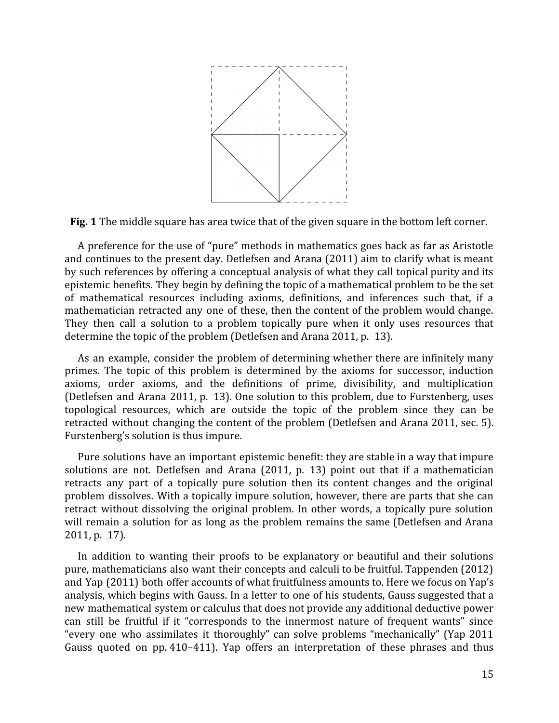

**Fig. 1** The middle square has area twice that of the given square in the bottom left corner.

A preference for the use of "pure" methods in mathematics goes back as far as Aristotle and continues to the present day. Detlefsen and Arana (2011) aim to clarify what is meant by such references by offering a conceptual analysis of what they call topical purity and its epistemic benefits. They begin by defining the topic of a mathematical problem to be the set of mathematical resources including axioms, definitions, and inferences such that, if a mathematician retracted any one of these, then the content of the problem would change. They then call a solution to a problem topically pure when it only uses resources that determine the topic of the problem (Detlefsen and Arana 2011, p. 13).

As an example, consider the problem of determining whether there are infinitely many primes. The topic of this problem is determined by the axioms for successor, induction axioms, order axioms, and the definitions of prime, divisibility, and multiplication (Detlefsen and Arana 2011, p. 13). One solution to this problem, due to Furstenberg, uses topological resources, which are outside the topic of the problem since they can be retracted without changing the content of the problem (Detlefsen and Arana 2011, sec. 5). Furstenberg's solution is thus impure.

Pure solutions have an important epistemic benefit: they are stable in a way that impure solutions are not. Detlefsen and Arana (2011, p. 13) point out that if a mathematician retracts any part of a topically pure solution then its content changes and the original problem dissolves. With a topically impure solution, however, there are parts that she can retract without dissolving the original problem. In other words, a topically pure solution will remain a solution for as long as the problem remains the same (Detlefsen and Arana 2011, p. 17).

In addition to wanting their proofs to be explanatory or beautiful and their solutions pure, mathematicians also want their concepts and calculi to be fruitful. Tappenden (2012) and Yap (2011) both offer accounts of what fruitfulness amounts to. Here we focus on Yap's analysis, which begins with Gauss. In a letter to one of his students, Gauss suggested that a new mathematical system or calculus that does not provide any additional deductive power can still be fruitful if it "corresponds to the innermost nature of frequent wants" since "every one who assimilates it thoroughly" can solve problems "mechanically" (Yap 2011 Gauss quoted on pp. 410–411). Yap offers an interpretation of these phrases and thus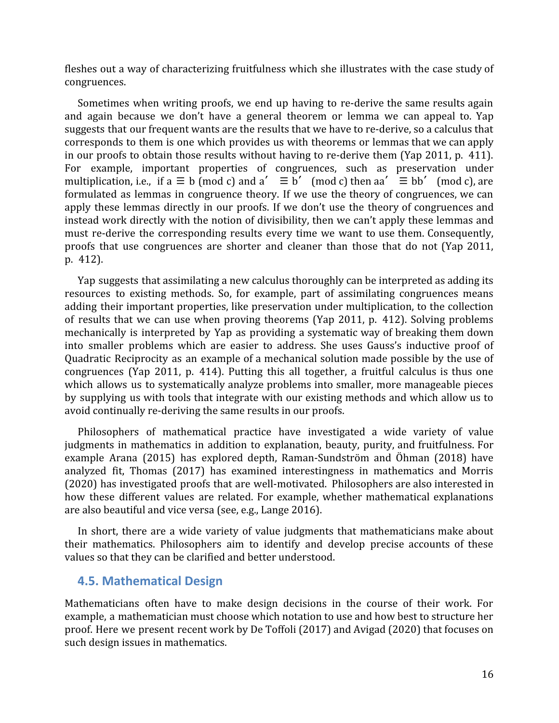fleshes out a way of characterizing fruitfulness which she illustrates with the case study of congruences.

Sometimes when writing proofs, we end up having to re-derive the same results again and again because we don't have a general theorem or lemma we can appeal to. Yap suggests that our frequent wants are the results that we have to re-derive, so a calculus that corresponds to them is one which provides us with theorems or lemmas that we can apply in our proofs to obtain those results without having to re-derive them (Yap 2011, p. 411). For example, important properties of congruences, such as preservation under multiplication, i.e., if a  $\equiv$  b (mod c) and a'  $\equiv$  b' (mod c) then aa'  $\equiv$  bb' (mod c), are formulated as lemmas in congruence theory. If we use the theory of congruences, we can apply these lemmas directly in our proofs. If we don't use the theory of congruences and instead work directly with the notion of divisibility, then we can't apply these lemmas and must re-derive the corresponding results every time we want to use them. Consequently, proofs that use congruences are shorter and cleaner than those that do not (Yap 2011, p. 412).

Yap suggests that assimilating a new calculus thoroughly can be interpreted as adding its resources to existing methods. So, for example, part of assimilating congruences means adding their important properties, like preservation under multiplication, to the collection of results that we can use when proving theorems (Yap 2011, p. 412). Solving problems mechanically is interpreted by Yap as providing a systematic way of breaking them down into smaller problems which are easier to address. She uses Gauss's inductive proof of Quadratic Reciprocity as an example of a mechanical solution made possible by the use of congruences (Yap 2011, p. 414). Putting this all together, a fruitful calculus is thus one which allows us to systematically analyze problems into smaller, more manageable pieces by supplying us with tools that integrate with our existing methods and which allow us to avoid continually re-deriving the same results in our proofs.

Philosophers of mathematical practice have investigated a wide variety of value judgments in mathematics in addition to explanation, beauty, purity, and fruitfulness. For example Arana (2015) has explored depth, Raman-Sundström and Öhman (2018) have analyzed fit, Thomas (2017) has examined interestingness in mathematics and Morris (2020) has investigated proofs that are well-motivated. Philosophers are also interested in how these different values are related. For example, whether mathematical explanations are also beautiful and vice versa (see, e.g., Lange 2016).

In short, there are a wide variety of value judgments that mathematicians make about their mathematics. Philosophers aim to identify and develop precise accounts of these values so that they can be clarified and better understood.

#### <span id="page-15-0"></span>**4.5. Mathematical Design**

Mathematicians often have to make design decisions in the course of their work. For example, a mathematician must choose which notation to use and how best to structure her proof. Here we present recent work by De Toffoli (2017) and Avigad (2020) that focuses on such design issues in mathematics.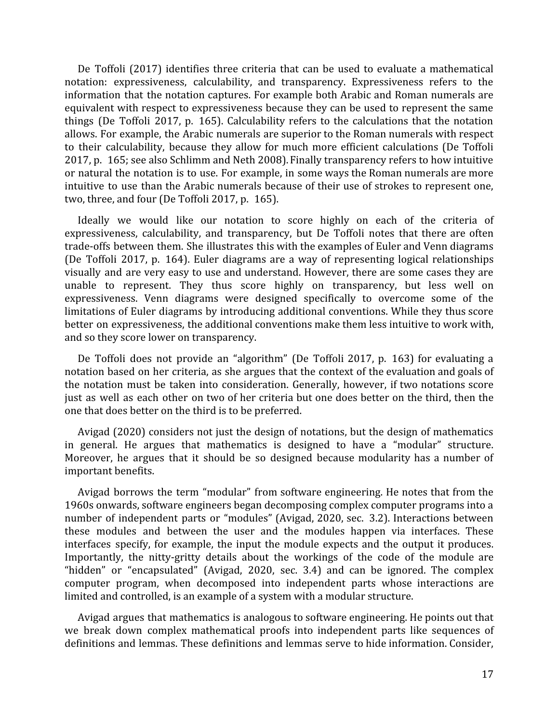De Toffoli (2017) identifies three criteria that can be used to evaluate a mathematical notation: expressiveness, calculability, and transparency. Expressiveness refers to the information that the notation captures. For example both Arabic and Roman numerals are equivalent with respect to expressiveness because they can be used to represent the same things (De Toffoli 2017, p. 165). Calculability refers to the calculations that the notation allows. For example, the Arabic numerals are superior to the Roman numerals with respect to their calculability, because they allow for much more efficient calculations (De Toffoli 2017, p. 165; see also Schlimm and Neth 2008). Finally transparency refers to how intuitive or natural the notation is to use. For example, in some ways the Roman numerals are more intuitive to use than the Arabic numerals because of their use of strokes to represent one, two, three, and four (De Toffoli 2017, p. 165).

Ideally we would like our notation to score highly on each of the criteria of expressiveness, calculability, and transparency, but De Toffoli notes that there are often trade-offs between them. She illustrates this with the examples of Euler and Venn diagrams (De Toffoli 2017, p. 164). Euler diagrams are a way of representing logical relationships visually and are very easy to use and understand. However, there are some cases they are unable to represent. They thus score highly on transparency, but less well on expressiveness. Venn diagrams were designed specifically to overcome some of the limitations of Euler diagrams by introducing additional conventions. While they thus score better on expressiveness, the additional conventions make them less intuitive to work with, and so they score lower on transparency.

De Toffoli does not provide an "algorithm" (De Toffoli 2017, p. 163) for evaluating a notation based on her criteria, as she argues that the context of the evaluation and goals of the notation must be taken into consideration. Generally, however, if two notations score just as well as each other on two of her criteria but one does better on the third, then the one that does better on the third is to be preferred.

Avigad (2020) considers not just the design of notations, but the design of mathematics in general. He argues that mathematics is designed to have a "modular" structure. Moreover, he argues that it should be so designed because modularity has a number of important benefits.

Avigad borrows the term "modular" from software engineering. He notes that from the 1960s onwards, software engineers began decomposing complex computer programs into a number of independent parts or "modules" (Avigad, 2020, sec. 3.2). Interactions between these modules and between the user and the modules happen via interfaces. These interfaces specify, for example, the input the module expects and the output it produces. Importantly, the nitty-gritty details about the workings of the code of the module are "hidden" or "encapsulated" (Avigad, 2020, sec. 3.4) and can be ignored. The complex computer program, when decomposed into independent parts whose interactions are limited and controlled, is an example of a system with a modular structure.

Avigad argues that mathematics is analogous to software engineering. He points out that we break down complex mathematical proofs into independent parts like sequences of definitions and lemmas. These definitions and lemmas serve to hide information. Consider,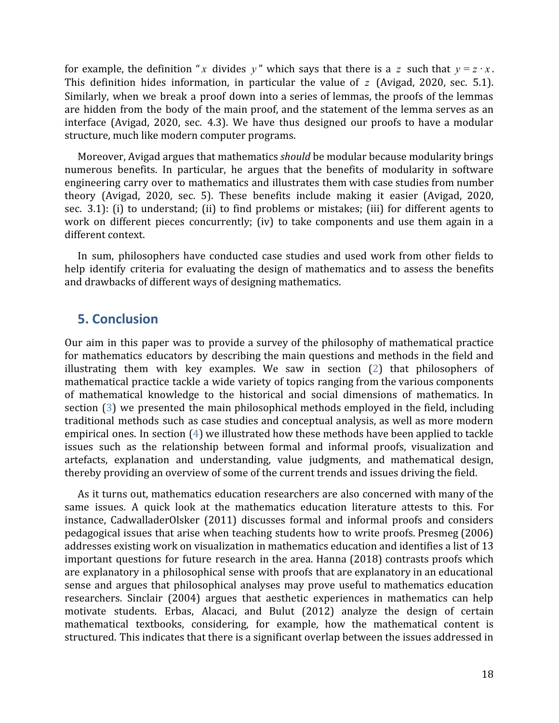for example, the definition "*x* divides *y*" which says that there is a *z* such that  $y = z \cdot x$ . This definition hides information, in particular the value of *z* (Avigad, 2020, sec. 5.1). Similarly, when we break a proof down into a series of lemmas, the proofs of the lemmas are hidden from the body of the main proof, and the statement of the lemma serves as an interface (Avigad, 2020, sec. 4.3). We have thus designed our proofs to have a modular structure, much like modern computer programs.

Moreover, Avigad argues that mathematics *should* be modular because modularity brings numerous benefits. In particular, he argues that the benefits of modularity in software engineering carry over to mathematics and illustrates them with case studies from number theory (Avigad, 2020, sec. 5). These benefits include making it easier (Avigad, 2020, sec. 3.1): (i) to understand; (ii) to find problems or mistakes; (iii) for different agents to work on different pieces concurrently; (iv) to take components and use them again in a different context.

In sum, philosophers have conducted case studies and used work from other fields to help identify criteria for evaluating the design of mathematics and to assess the benefits and drawbacks of different ways of designing mathematics.

#### <span id="page-17-0"></span>**5. Conclusion**

Our aim in this paper was to provide a survey of the philosophy of mathematical practice for mathematics educators by describing the main questions and methods in the field and illustrating them with key examples. We saw in section [\(2\)](#page-2-0) that philosophers of mathematical practice tackle a wide variety of topics ranging from the various components of mathematical knowledge to the historical and social dimensions of mathematics. In section [\(3\)](#page-3-0) we presented the main philosophical methods employed in the field, including traditional methods such as case studies and conceptual analysis, as well as more modern empirical ones. In section ([4](#page-6-0)) we illustrated how these methods have been applied to tackle issues such as the relationship between formal and informal proofs, visualization and artefacts, explanation and understanding, value judgments, and mathematical design, thereby providing an overview of some of the current trends and issues driving the field.

As it turns out, mathematics education researchers are also concerned with many of the same issues. A quick look at the mathematics education literature attests to this. For instance, CadwalladerOlsker (2011) discusses formal and informal proofs and considers pedagogical issues that arise when teaching students how to write proofs. Presmeg (2006) addresses existing work on visualization in mathematics education and identifies a list of 13 important questions for future research in the area. Hanna (2018) contrasts proofs which are explanatory in a philosophical sense with proofs that are explanatory in an educational sense and argues that philosophical analyses may prove useful to mathematics education researchers. Sinclair (2004) argues that aesthetic experiences in mathematics can help motivate students. Erbas, Alacaci, and Bulut (2012) analyze the design of certain mathematical textbooks, considering, for example, how the mathematical content is structured. This indicates that there is a significant overlap between the issues addressed in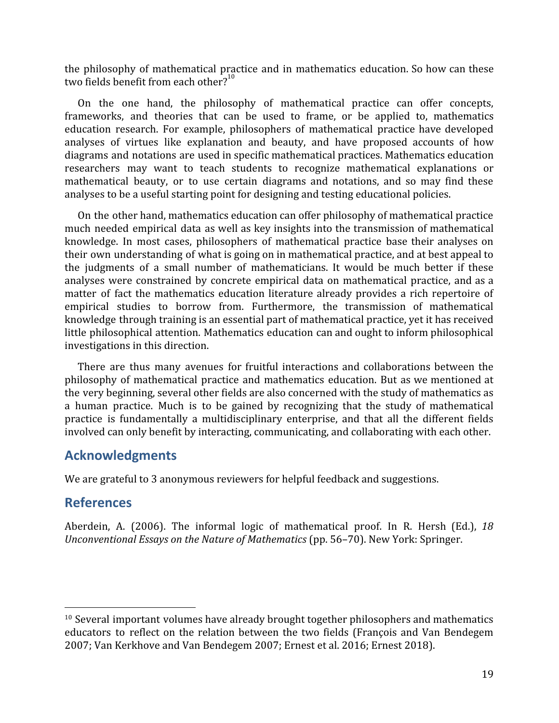the philosophy of mathematical practice and in mathematics education. So how can these two fields benefit from each other? $10^{10}$ 

On the one hand, the philosophy of mathematical practice can offer concepts, frameworks, and theories that can be used to frame, or be applied to, mathematics education research. For example, philosophers of mathematical practice have developed analyses of virtues like explanation and beauty, and have proposed accounts of how diagrams and notations are used in specific mathematical practices. Mathematics education researchers may want to teach students to recognize mathematical explanations or mathematical beauty, or to use certain diagrams and notations, and so may find these analyses to be a useful starting point for designing and testing educational policies.

On the other hand, mathematics education can offer philosophy of mathematical practice much needed empirical data as well as key insights into the transmission of mathematical knowledge. In most cases, philosophers of mathematical practice base their analyses on their own understanding of what is going on in mathematical practice, and at best appeal to the judgments of a small number of mathematicians. It would be much better if these analyses were constrained by concrete empirical data on mathematical practice, and as a matter of fact the mathematics education literature already provides a rich repertoire of empirical studies to borrow from. Furthermore, the transmission of mathematical knowledge through training is an essential part of mathematical practice, yet it has received little philosophical attention. Mathematics education can and ought to inform philosophical investigations in this direction.

There are thus many avenues for fruitful interactions and collaborations between the philosophy of mathematical practice and mathematics education. But as we mentioned at the very beginning, several other fields are also concerned with the study of mathematics as a human practice. Much is to be gained by recognizing that the study of mathematical practice is fundamentally a multidisciplinary enterprise, and that all the different fields involved can only benefit by interacting, communicating, and collaborating with each other.

## **Acknowledgments**

We are grateful to 3 anonymous reviewers for helpful feedback and suggestions.

## **References**

Aberdein, A. (2006). The informal logic of mathematical proof. In R. Hersh (Ed.), *18 Unconventional Essays on the Nature of Mathematics* (pp. 56–70). New York: Springer.

 $10$  Several important volumes have already brought together philosophers and mathematics educators to reflect on the relation between the two fields (François and Van Bendegem 2007; Van Kerkhove and Van Bendegem 2007; Ernest et al. 2016; Ernest 2018).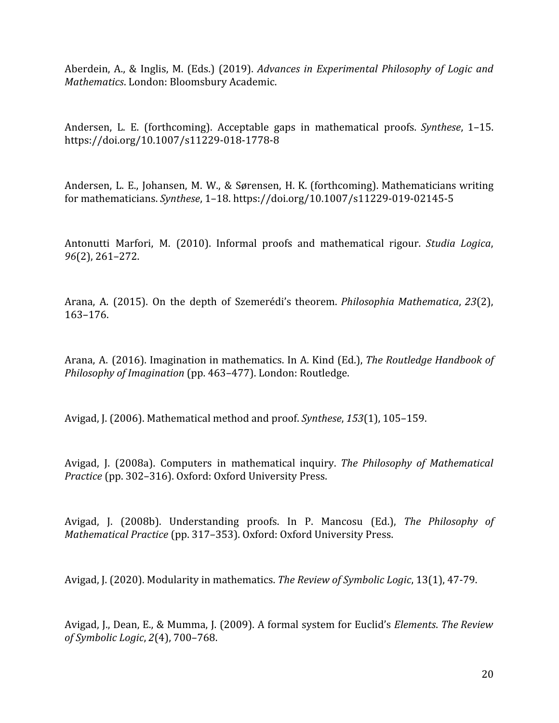Aberdein, A., & Inglis, M. (Eds.) (2019). *Advances in Experimental Philosophy of Logic and Mathematics*. London: Bloomsbury Academic.

Andersen, L. E. (forthcoming). Acceptable gaps in mathematical proofs. *Synthese*, 1–15. https://doi.org/10.1007/s11229-018-1778-8

Andersen, L. E., Johansen, M. W., & Sørensen, H. K. (forthcoming). Mathematicians writing for mathematicians. *Synthese*, 1–18. https://doi.org/10.1007/s11229-019-02145-5

Antonutti Marfori, M. (2010). Informal proofs and mathematical rigour. *Studia Logica*, *96*(2), 261–272.

Arana, A. (2015). On the depth of Szemerédi's theorem. *Philosophia Mathematica*, *23*(2), 163–176.

Arana, A. (2016). Imagination in mathematics. In A. Kind (Ed.), *The Routledge Handbook of Philosophy of Imagination* (pp. 463–477). London: Routledge.

Avigad, J. (2006). Mathematical method and proof. *Synthese*, *153*(1), 105–159.

Avigad, J. (2008a). Computers in mathematical inquiry. *The Philosophy of Mathematical Practice* (pp. 302–316). Oxford: Oxford University Press.

Avigad, J. (2008b). Understanding proofs. In P. Mancosu (Ed.), *The Philosophy of Mathematical Practice* (pp. 317–353). Oxford: Oxford University Press.

Avigad, J. (2020). Modularity in mathematics. *The Review of Symbolic Logic*, 13(1), 47-79.

Avigad, J., Dean, E., & Mumma, J. (2009). A formal system for Euclid's *Elements*. *The Review of Symbolic Logic*, *2*(4), 700–768.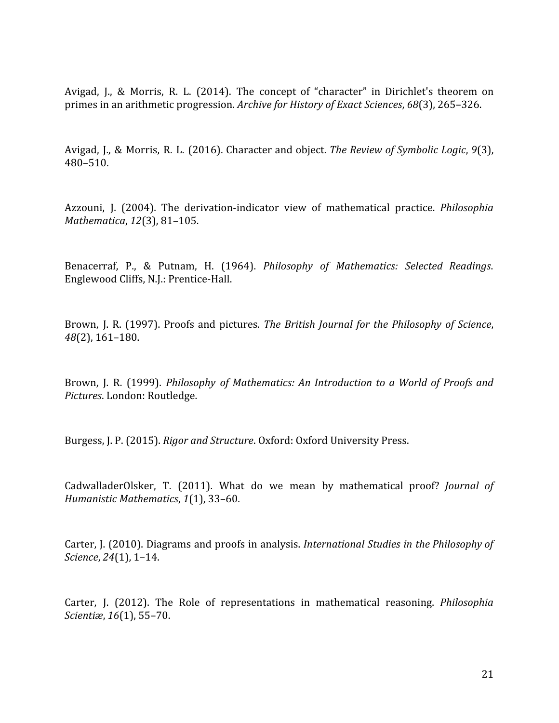Avigad, J., & Morris, R. L. (2014). The concept of "character" in Dirichlet's theorem on primes in an arithmetic progression. *Archive for History of Exact Sciences*, *68*(3), 265–326.

Avigad, J., & Morris, R. L. (2016). Character and object. *The Review of Symbolic Logic*, *9*(3), 480–510.

Azzouni, J. (2004). The derivation-indicator view of mathematical practice. *Philosophia Mathematica*, *12*(3), 81–105.

Benacerraf, P., & Putnam, H. (1964). *Philosophy of Mathematics: Selected Readings*. Englewood Cliffs, N.J.: Prentice-Hall.

Brown, J. R. (1997). Proofs and pictures. *The British Journal for the Philosophy of Science*, *48*(2), 161–180.

Brown, J. R. (1999). *Philosophy of Mathematics: An Introduction to a World of Proofs and Pictures*. London: Routledge.

Burgess, J. P. (2015). *Rigor and Structure*. Oxford: Oxford University Press.

CadwalladerOlsker, T. (2011). What do we mean by mathematical proof? *Journal of Humanistic Mathematics*, *1*(1), 33–60.

Carter, J. (2010). Diagrams and proofs in analysis. *International Studies in the Philosophy of Science*, *24*(1), 1–14.

Carter, J. (2012). The Role of representations in mathematical reasoning. *Philosophia Scientiæ*, *16*(1), 55–70.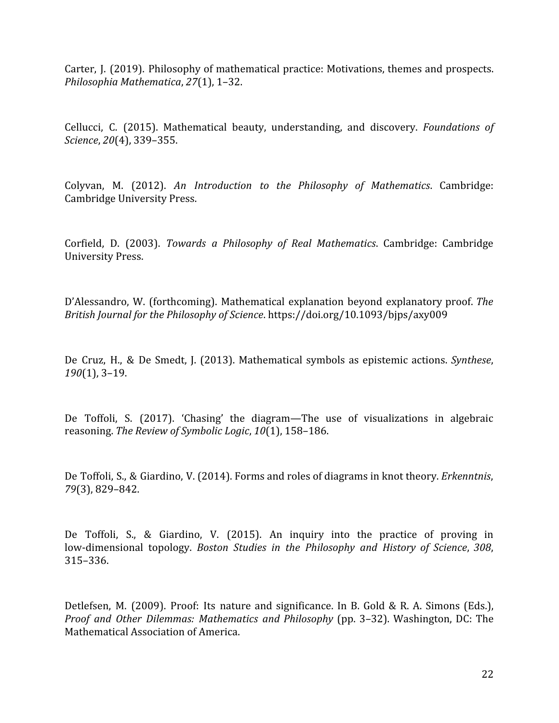Carter, J. (2019). Philosophy of mathematical practice: Motivations, themes and prospects. *Philosophia Mathematica*, *27*(1), 1–32.

Cellucci, C. (2015). Mathematical beauty, understanding, and discovery. *Foundations of Science*, *20*(4), 339–355.

Colyvan, M. (2012). *An Introduction to the Philosophy of Mathematics*. Cambridge: Cambridge University Press.

Corfield, D. (2003). *Towards a Philosophy of Real Mathematics*. Cambridge: Cambridge University Press.

D'Alessandro, W. (forthcoming). Mathematical explanation beyond explanatory proof. *The British Journal for the Philosophy of Science*. https://doi.org/10.1093/bjps/axy009

De Cruz, H., & De Smedt, J. (2013). Mathematical symbols as epistemic actions. *Synthese*, *190*(1), 3–19.

De Toffoli, S. (2017). 'Chasing' the diagram—The use of visualizations in algebraic reasoning. *The Review of Symbolic Logic*, *10*(1), 158–186.

De Toffoli, S., & Giardino, V. (2014). Forms and roles of diagrams in knot theory. *Erkenntnis*, *79*(3), 829–842.

De Toffoli, S., & Giardino, V. (2015). An inquiry into the practice of proving in low-dimensional topology. *Boston Studies in the Philosophy and History of Science*, *308*, 315–336.

Detlefsen, M. (2009). Proof: Its nature and significance. In B. Gold & R. A. Simons (Eds.), *Proof and Other Dilemmas: Mathematics and Philosophy* (pp. 3–32). Washington, DC: The Mathematical Association of America.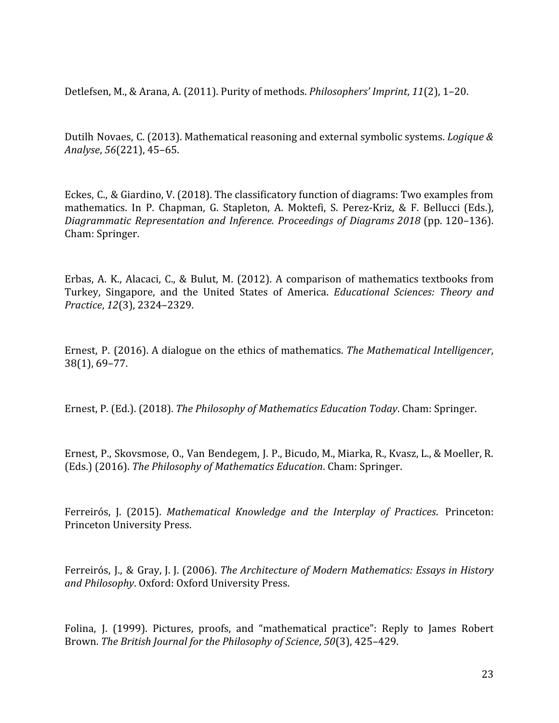Detlefsen, M., & Arana, A. (2011). Purity of methods. *Philosophers' Imprint*, *11*(2), 1–20.

Dutilh Novaes, C. (2013). Mathematical reasoning and external symbolic systems. *Logique & Analyse*, *56*(221), 45–65.

Eckes, C., & Giardino, V. (2018). The classificatory function of diagrams: Two examples from mathematics. In P. Chapman, G. Stapleton, A. Moktefi, S. Perez-Kriz, & F. Bellucci (Eds.), *Diagrammatic Representation and Inference. Proceedings of Diagrams 2018* (pp. 120–136). Cham: Springer.

Erbas, A. K., Alacaci, C., & Bulut, M. (2012). A comparison of mathematics textbooks from Turkey, Singapore, and the United States of America. *Educational Sciences: Theory and Practice*, *12*(3), 2324–2329.

Ernest, P. (2016). A dialogue on the ethics of mathematics. *The Mathematical Intelligencer*, 38(1), 69–77.

Ernest, P. (Ed.). (2018). *The Philosophy of Mathematics Education Today*. Cham: Springer.

Ernest, P., Skovsmose, O., Van Bendegem, J. P., Bicudo, M., Miarka, R., Kvasz, L., & Moeller, R. (Eds.) (2016). *The Philosophy of Mathematics Education*. Cham: Springer.

Ferreirós, J. (2015). *Mathematical Knowledge and the Interplay of Practices*. Princeton: Princeton University Press.

Ferreirós, J., & Gray, J. J. (2006). *The Architecture of Modern Mathematics: Essays in History and Philosophy*. Oxford: Oxford University Press.

Folina, J. (1999). Pictures, proofs, and "mathematical practice": Reply to James Robert Brown. *The British Journal for the Philosophy of Science*, *50*(3), 425–429.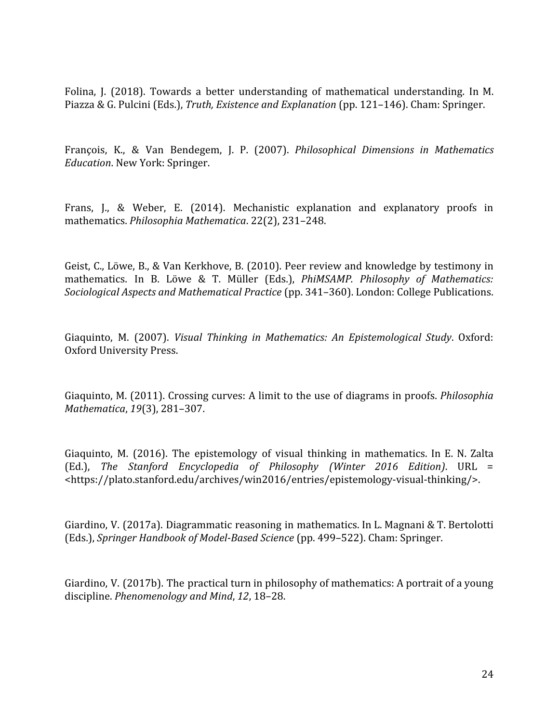Folina, J. (2018). Towards a better understanding of mathematical understanding. In M. Piazza & G. Pulcini (Eds.), *Truth, Existence and Explanation* (pp. 121–146). Cham: Springer.

François, K., & Van Bendegem, J. P. (2007). *Philosophical Dimensions in Mathematics Education*. New York: Springer.

Frans, J., & Weber, E. (2014). Mechanistic explanation and explanatory proofs in mathematics. *Philosophia Mathematica*. 22(2), 231–248.

Geist, C., Löwe, B., & Van Kerkhove, B. (2010). Peer review and knowledge by testimony in mathematics. In B. Löwe & T. Müller (Eds.), *PhiMSAMP. Philosophy of Mathematics: Sociological Aspects and Mathematical Practice* (pp. 341–360). London: College Publications.

Giaquinto, M. (2007). *Visual Thinking in Mathematics: An Epistemological Study*. Oxford: Oxford University Press.

Giaquinto, M. (2011). Crossing curves: A limit to the use of diagrams in proofs. *Philosophia Mathematica*, *19*(3), 281–307.

Giaquinto, M. (2016). The epistemology of visual thinking in mathematics. In E. N. Zalta (Ed.), *The Stanford Encyclopedia of Philosophy (Winter 2016 Edition)*. URL = <https://plato.stanford.edu/archives/win2016/entries/epistemology-visual-thinking/>.

Giardino, V. (2017a). Diagrammatic reasoning in mathematics. In L. Magnani & T. Bertolotti (Eds.), *Springer Handbook of Model-Based Science* (pp. 499–522). Cham: Springer.

Giardino, V. (2017b). The practical turn in philosophy of mathematics: A portrait of a young discipline. *Phenomenology and Mind*, *12*, 18–28.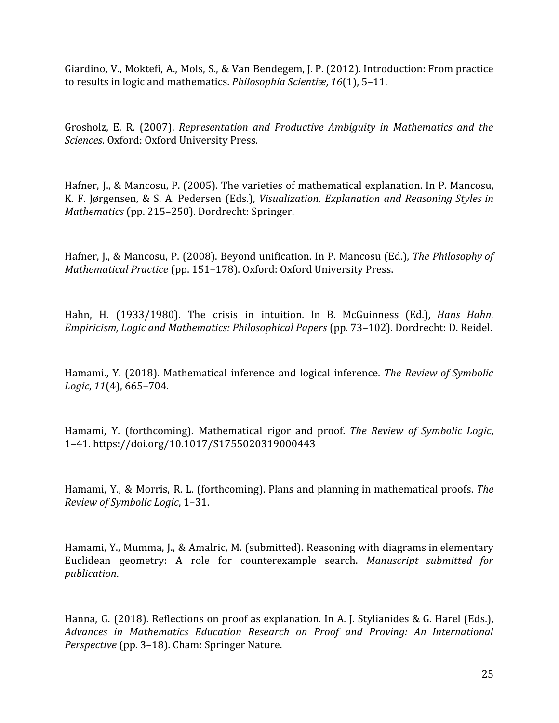Giardino, V., Moktefi, A., Mols, S., & Van Bendegem, J. P. (2012). Introduction: From practice to results in logic and mathematics. *Philosophia Scientiæ*, *16*(1), 5–11.

Grosholz, E. R. (2007). *Representation and Productive Ambiguity in Mathematics and the Sciences*. Oxford: Oxford University Press.

Hafner, J., & Mancosu, P. (2005). The varieties of mathematical explanation. In P. Mancosu, K. F. Jørgensen, & S. A. Pedersen (Eds.), *Visualization, Explanation and Reasoning Styles in Mathematics* (pp. 215–250). Dordrecht: Springer.

Hafner, J., & Mancosu, P. (2008). Beyond unification. In P. Mancosu (Ed.), *The Philosophy of Mathematical Practice* (pp. 151–178). Oxford: Oxford University Press.

Hahn, H. (1933/1980). The crisis in intuition. In B. McGuinness (Ed.), *Hans Hahn. Empiricism, Logic and Mathematics: Philosophical Papers* (pp. 73–102). Dordrecht: D. Reidel.

Hamami., Y. (2018). Mathematical inference and logical inference. *The Review of Symbolic Logic*, *11*(4), 665–704.

Hamami, Y. (forthcoming). Mathematical rigor and proof. *The Review of Symbolic Logic*, 1–41. https://doi.org/10.1017/S1755020319000443

Hamami, Y., & Morris, R. L. (forthcoming). Plans and planning in mathematical proofs. *The Review of Symbolic Logic*, 1–31.

Hamami, Y., Mumma, J., & Amalric, M. (submitted). Reasoning with diagrams in elementary Euclidean geometry: A role for counterexample search. *Manuscript submitted for publication*.

Hanna, G. (2018). Reflections on proof as explanation. In A. J. Stylianides & G. Harel (Eds.), *Advances in Mathematics Education Research on Proof and Proving: An International Perspective* (pp. 3–18). Cham: Springer Nature.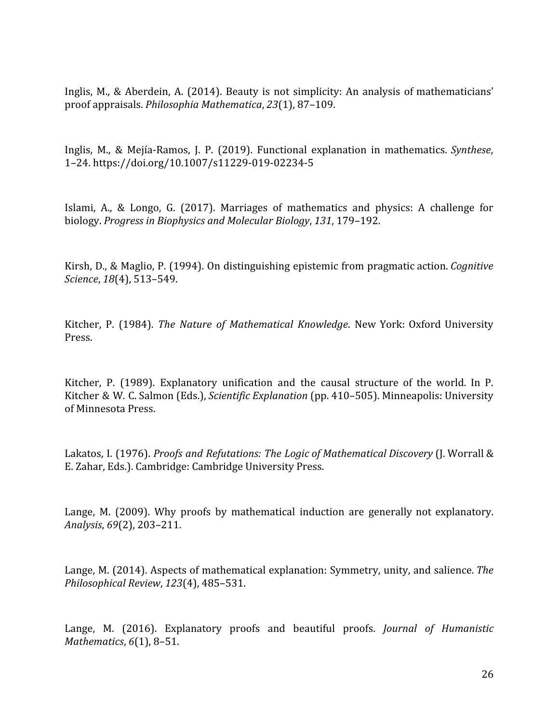Inglis, M., & Aberdein, A. (2014). Beauty is not simplicity: An analysis of mathematicians' proof appraisals. *Philosophia Mathematica*, *23*(1), 87–109.

Inglis, M., & Mejía-Ramos, J. P. (2019). Functional explanation in mathematics. *Synthese*, 1–24. https://doi.org/10.1007/s11229-019-02234-5

Islami, A., & Longo, G. (2017). Marriages of mathematics and physics: A challenge for biology. *Progress in Biophysics and Molecular Biology*, *131*, 179–192.

Kirsh, D., & Maglio, P. (1994). On distinguishing epistemic from pragmatic action. *Cognitive Science*, *18*(4), 513–549.

Kitcher, P. (1984). *The Nature of Mathematical Knowledge*. New York: Oxford University Press.

Kitcher, P. (1989). Explanatory unification and the causal structure of the world. In P. Kitcher & W. C. Salmon (Eds.), *Scientific Explanation* (pp. 410–505). Minneapolis: University of Minnesota Press.

Lakatos, I. (1976). *Proofs and Refutations: The Logic of Mathematical Discovery* (J. Worrall & E. Zahar, Eds.). Cambridge: Cambridge University Press.

Lange, M. (2009). Why proofs by mathematical induction are generally not explanatory. *Analysis*, *69*(2), 203–211.

Lange, M. (2014). Aspects of mathematical explanation: Symmetry, unity, and salience. *The Philosophical Review*, *123*(4), 485–531.

Lange, M. (2016). Explanatory proofs and beautiful proofs. *Journal of Humanistic Mathematics*, *6*(1), 8–51.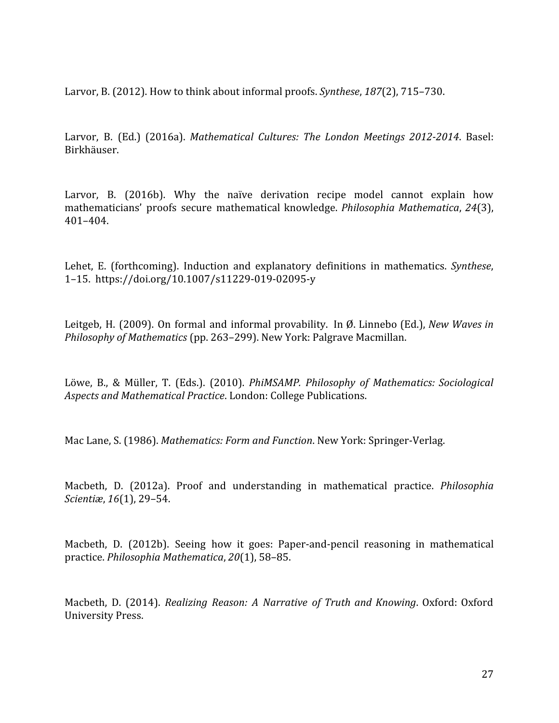Larvor, B. (2012). How to think about informal proofs. *Synthese*, *187*(2), 715–730.

Larvor, B. (Ed.) (2016a). *Mathematical Cultures: The London Meetings 2012-2014*. Basel: Birkhäuser.

Larvor, B. (2016b). Why the naïve derivation recipe model cannot explain how mathematicians' proofs secure mathematical knowledge. *Philosophia Mathematica*, *24*(3), 401–404.

Lehet, E. (forthcoming). Induction and explanatory definitions in mathematics. *Synthese*, 1–15. https://doi.org/10.1007/s11229-019-02095-y

Leitgeb, H. (2009). On formal and informal provability. In Ø. Linnebo (Ed.), *New Waves in Philosophy of Mathematics* (pp. 263–299). New York: Palgrave Macmillan.

Löwe, B., & Müller, T. (Eds.). (2010). *PhiMSAMP. Philosophy of Mathematics: Sociological Aspects and Mathematical Practice*. London: College Publications.

Mac Lane, S. (1986). *Mathematics: Form and Function*. New York: Springer-Verlag.

Macbeth, D. (2012a). Proof and understanding in mathematical practice. *Philosophia Scientiæ*, *16*(1), 29–54.

Macbeth, D. (2012b). Seeing how it goes: Paper-and-pencil reasoning in mathematical practice. *Philosophia Mathematica*, *20*(1), 58–85.

Macbeth, D. (2014). *Realizing Reason: A Narrative of Truth and Knowing*. Oxford: Oxford University Press.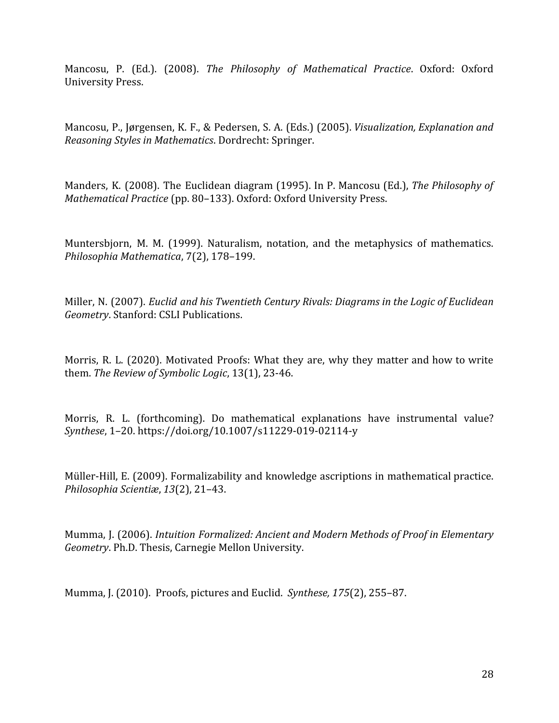Mancosu, P. (Ed.). (2008). *The Philosophy of Mathematical Practice*. Oxford: Oxford University Press.

Mancosu, P., Jørgensen, K. F., & Pedersen, S. A. (Eds.) (2005). *Visualization, Explanation and Reasoning Styles in Mathematics*. Dordrecht: Springer.

Manders, K. (2008). The Euclidean diagram (1995). In P. Mancosu (Ed.), *The Philosophy of Mathematical Practice* (pp. 80–133). Oxford: Oxford University Press.

Muntersbjorn, M. M. (1999). Naturalism, notation, and the metaphysics of mathematics. *Philosophia Mathematica*, 7(2), 178–199.

Miller, N. (2007). *Euclid and his Twentieth Century Rivals: Diagrams in the Logic of Euclidean Geometry*. Stanford: CSLI Publications.

Morris, R. L. (2020). Motivated Proofs: What they are, why they matter and how to write them. *The Review of Symbolic Logic*, 13(1), 23-46.

Morris, R. L. (forthcoming). Do mathematical explanations have instrumental value? *Synthese*, 1–20. https://doi.org/10.1007/s11229-019-02114-y

Müller-Hill, E. (2009). Formalizability and knowledge ascriptions in mathematical practice. *Philosophia Scientiæ*, *13*(2), 21–43.

Mumma, J. (2006). *Intuition Formalized: Ancient and Modern Methods of Proof in Elementary Geometry*. Ph.D. Thesis, Carnegie Mellon University.

Mumma, J. (2010). Proofs, pictures and Euclid. *Synthese, 175*(2), 255–87.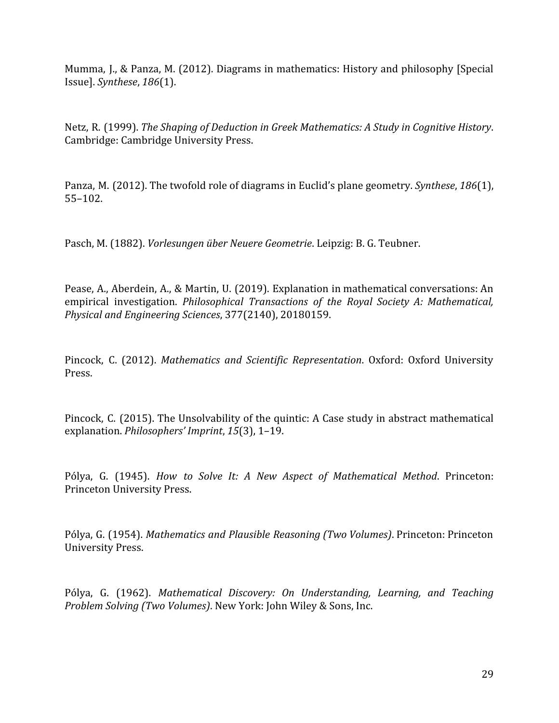Mumma, J., & Panza, M. (2012). Diagrams in mathematics: History and philosophy [Special Issue]. *Synthese*, *186*(1).

Netz, R. (1999). *The Shaping of Deduction in Greek Mathematics: A Study in Cognitive History*. Cambridge: Cambridge University Press.

Panza, M. (2012). The twofold role of diagrams in Euclid's plane geometry. *Synthese*, *186*(1), 55–102.

Pasch, M. (1882). *Vorlesungen über Neuere Geometrie*. Leipzig: B. G. Teubner.

Pease, A., Aberdein, A., & Martin, U. (2019). Explanation in mathematical conversations: An empirical investigation. *Philosophical Transactions of the Royal Society A: Mathematical, Physical and Engineering Sciences*, 377(2140), 20180159.

Pincock, C. (2012). *Mathematics and Scientific Representation*. Oxford: Oxford University Press.

Pincock, C. (2015). The Unsolvability of the quintic: A Case study in abstract mathematical explanation. *Philosophers' Imprint*, *15*(3), 1–19.

Pólya, G. (1945). *How to Solve It: A New Aspect of Mathematical Method*. Princeton: Princeton University Press.

Pólya, G. (1954). *Mathematics and Plausible Reasoning (Two Volumes)*. Princeton: Princeton University Press.

Pólya, G. (1962). *Mathematical Discovery: On Understanding, Learning, and Teaching Problem Solving (Two Volumes)*. New York: John Wiley & Sons, Inc.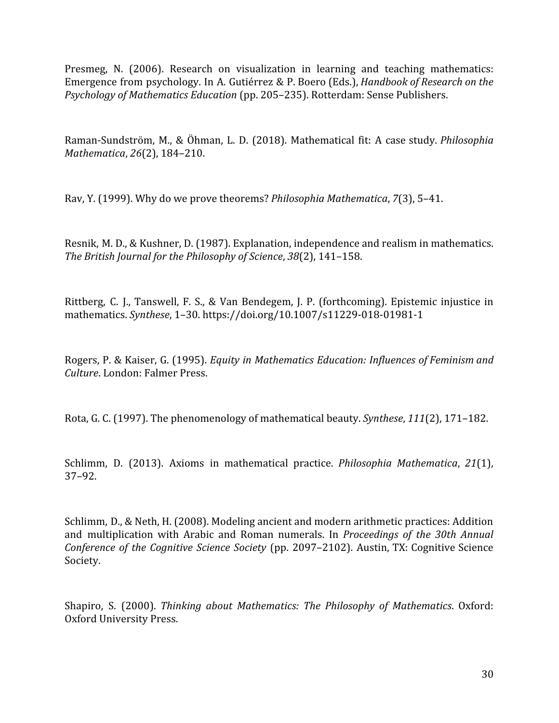Presmeg, N. (2006). Research on visualization in learning and teaching mathematics: Emergence from psychology. In A. Gutiérrez & P. Boero (Eds.), *Handbook of Research on the Psychology of Mathematics Education* (pp. 205–235). Rotterdam: Sense Publishers.

Raman-Sundström, M., & Öhman, L. D. (2018). Mathematical fit: A case study. *Philosophia Mathematica*, *26*(2), 184–210.

Rav, Y. (1999). Why do we prove theorems? *Philosophia Mathematica*, *7*(3), 5–41.

Resnik, M. D., & Kushner, D. (1987). Explanation, independence and realism in mathematics. *The British Journal for the Philosophy of Science*, *38*(2), 141–158.

Rittberg, C. J., Tanswell, F. S., & Van Bendegem, J. P. (forthcoming). Epistemic injustice in mathematics. *Synthese*, 1–30. https://doi.org/10.1007/s11229-018-01981-1

Rogers, P. & Kaiser, G. (1995). *Equity in Mathematics Education: Influences of Feminism and Culture*. London: Falmer Press.

Rota, G. C. (1997). The phenomenology of mathematical beauty. *Synthese*, *111*(2), 171–182.

Schlimm, D. (2013). Axioms in mathematical practice. *Philosophia Mathematica*, *21*(1), 37–92.

Schlimm, D., & Neth, H. (2008). Modeling ancient and modern arithmetic practices: Addition and multiplication with Arabic and Roman numerals. In *Proceedings of the 30th Annual Conference of the Cognitive Science Society* (pp. 2097–2102). Austin, TX: Cognitive Science Society.

Shapiro, S. (2000). *Thinking about Mathematics: The Philosophy of Mathematics*. Oxford: Oxford University Press.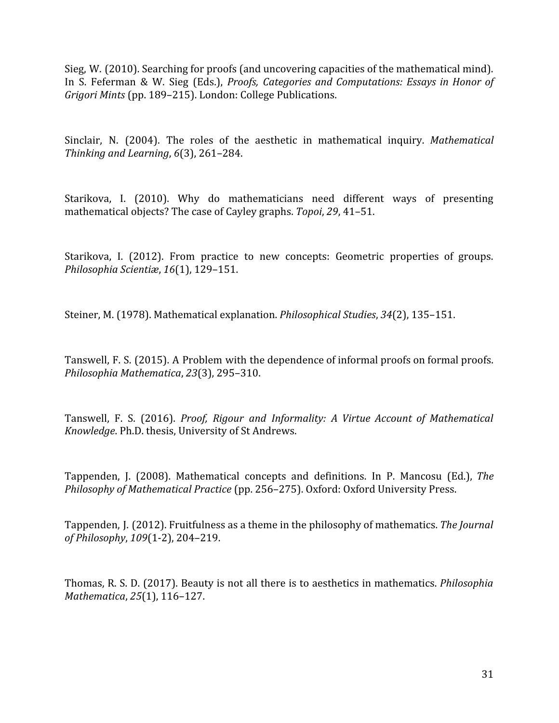Sieg, W. (2010). Searching for proofs (and uncovering capacities of the mathematical mind). In S. Feferman & W. Sieg (Eds.), *Proofs, Categories and Computations: Essays in Honor of Grigori Mints* (pp. 189–215). London: College Publications.

Sinclair, N. (2004). The roles of the aesthetic in mathematical inquiry. *Mathematical Thinking and Learning*, *6*(3), 261–284.

Starikova, I. (2010). Why do mathematicians need different ways of presenting mathematical objects? The case of Cayley graphs. *Topoi*, *29*, 41–51.

Starikova, I. (2012). From practice to new concepts: Geometric properties of groups. *Philosophia Scientiæ*, *16*(1), 129–151.

Steiner, M. (1978). Mathematical explanation. *Philosophical Studies*, *34*(2), 135–151.

Tanswell, F. S. (2015). A Problem with the dependence of informal proofs on formal proofs. *Philosophia Mathematica*, *23*(3), 295–310.

Tanswell, F. S. (2016). *Proof, Rigour and Informality: A Virtue Account of Mathematical Knowledge*. Ph.D. thesis, University of St Andrews.

Tappenden, J. (2008). Mathematical concepts and definitions. In P. Mancosu (Ed.), *The Philosophy of Mathematical Practice* (pp. 256–275). Oxford: Oxford University Press.

Tappenden, J. (2012). Fruitfulness as a theme in the philosophy of mathematics. *The Journal of Philosophy*, *109*(1-2), 204–219.

Thomas, R. S. D. (2017). Beauty is not all there is to aesthetics in mathematics. *Philosophia Mathematica*, *25*(1), 116–127.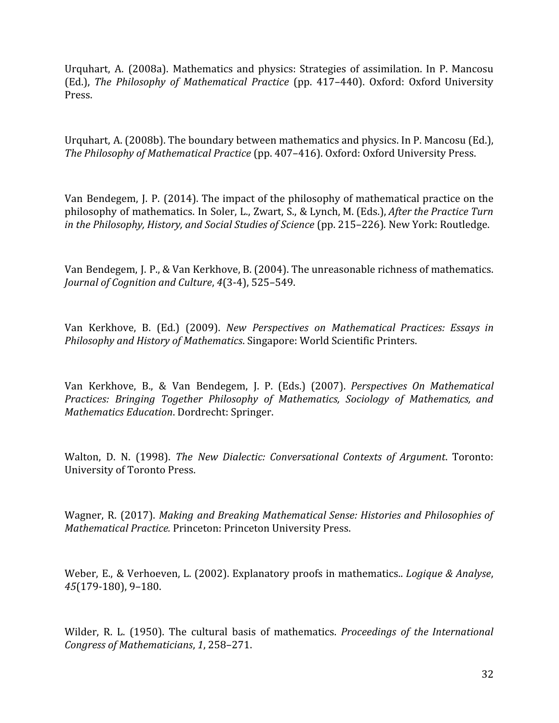Urquhart, A. (2008a). Mathematics and physics: Strategies of assimilation. In P. Mancosu (Ed.), *The Philosophy of Mathematical Practice* (pp. 417–440). Oxford: Oxford University Press.

Urquhart, A. (2008b). The boundary between mathematics and physics. In P. Mancosu (Ed.), *The Philosophy of Mathematical Practice* (pp. 407–416). Oxford: Oxford University Press.

Van Bendegem, J. P. (2014). The impact of the philosophy of mathematical practice on the philosophy of mathematics. In Soler, L., Zwart, S., & Lynch, M. (Eds.), *After the Practice Turn in the Philosophy, History, and Social Studies of Science* (pp. 215–226)*.* New York: Routledge.

Van Bendegem, J. P., & Van Kerkhove, B. (2004). The unreasonable richness of mathematics. *Journal of Cognition and Culture*, *4*(3-4), 525–549.

Van Kerkhove, B. (Ed.) (2009). *New Perspectives on Mathematical Practices: Essays in Philosophy and History of Mathematics*. Singapore: World Scientific Printers.

Van Kerkhove, B., & Van Bendegem, J. P. (Eds.) (2007). *Perspectives On Mathematical Practices: Bringing Together Philosophy of Mathematics, Sociology of Mathematics, and Mathematics Education*. Dordrecht: Springer.

Walton, D. N. (1998). *The New Dialectic: Conversational Contexts of Argument*. Toronto: University of Toronto Press.

Wagner, R. (2017). *Making and Breaking Mathematical Sense: Histories and Philosophies of Mathematical Practice.* Princeton: Princeton University Press.

Weber, E., & Verhoeven, L. (2002). Explanatory proofs in mathematics.. *Logique & Analyse*, *45*(179-180), 9–180.

Wilder, R. L. (1950). The cultural basis of mathematics. *Proceedings of the International Congress of Mathematicians*, *1*, 258–271.